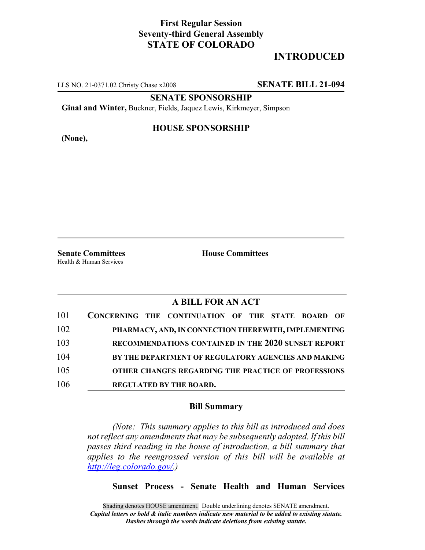## **First Regular Session Seventy-third General Assembly STATE OF COLORADO**

# **INTRODUCED**

LLS NO. 21-0371.02 Christy Chase x2008 **SENATE BILL 21-094**

**SENATE SPONSORSHIP**

**Ginal and Winter,** Buckner, Fields, Jaquez Lewis, Kirkmeyer, Simpson

**(None),**

### **HOUSE SPONSORSHIP**

**Senate Committees House Committees** Health & Human Services

### **A BILL FOR AN ACT**

| 101 | CONCERNING THE CONTINUATION OF THE STATE BOARD OF    |
|-----|------------------------------------------------------|
| 102 | PHARMACY, AND, IN CONNECTION THEREWITH, IMPLEMENTING |
| 103 | RECOMMENDATIONS CONTAINED IN THE 2020 SUNSET REPORT  |
| 104 | BY THE DEPARTMENT OF REGULATORY AGENCIES AND MAKING  |
| 105 | OTHER CHANGES REGARDING THE PRACTICE OF PROFESSIONS  |
| 106 | <b>REGULATED BY THE BOARD.</b>                       |

#### **Bill Summary**

*(Note: This summary applies to this bill as introduced and does not reflect any amendments that may be subsequently adopted. If this bill passes third reading in the house of introduction, a bill summary that applies to the reengrossed version of this bill will be available at http://leg.colorado.gov/.)*

**Sunset Process - Senate Health and Human Services**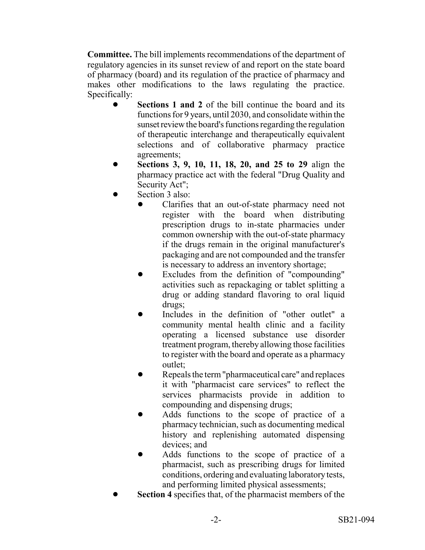**Committee.** The bill implements recommendations of the department of regulatory agencies in its sunset review of and report on the state board of pharmacy (board) and its regulation of the practice of pharmacy and makes other modifications to the laws regulating the practice. Specifically:

- **Sections 1 and 2** of the bill continue the board and its functions for 9 years, until 2030, and consolidate within the sunset review the board's functions regarding the regulation of therapeutic interchange and therapeutically equivalent selections and of collaborative pharmacy practice agreements;
- ! **Sections 3, 9, 10, 11, 18, 20, and 25 to 29** align the pharmacy practice act with the federal "Drug Quality and Security Act";
- Section 3 also:
	- ! Clarifies that an out-of-state pharmacy need not register with the board when distributing prescription drugs to in-state pharmacies under common ownership with the out-of-state pharmacy if the drugs remain in the original manufacturer's packaging and are not compounded and the transfer is necessary to address an inventory shortage;
	- ! Excludes from the definition of "compounding" activities such as repackaging or tablet splitting a drug or adding standard flavoring to oral liquid drugs;
	- Includes in the definition of "other outlet" a community mental health clinic and a facility operating a licensed substance use disorder treatment program, thereby allowing those facilities to register with the board and operate as a pharmacy outlet;
	- Repeals the term "pharmaceutical care" and replaces it with "pharmacist care services" to reflect the services pharmacists provide in addition to compounding and dispensing drugs;
	- ! Adds functions to the scope of practice of a pharmacy technician, such as documenting medical history and replenishing automated dispensing devices; and
	- ! Adds functions to the scope of practice of a pharmacist, such as prescribing drugs for limited conditions, ordering and evaluating laboratory tests, and performing limited physical assessments;
- **Section 4** specifies that, of the pharmacist members of the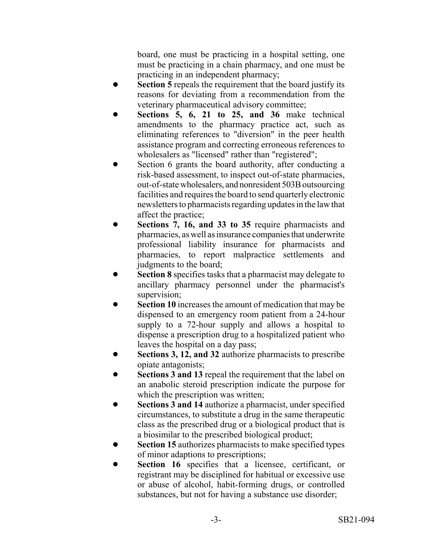board, one must be practicing in a hospital setting, one must be practicing in a chain pharmacy, and one must be practicing in an independent pharmacy;

- **Section 5** repeals the requirement that the board justify its reasons for deviating from a recommendation from the veterinary pharmaceutical advisory committee;
- Sections 5, 6, 21 to 25, and 36 make technical amendments to the pharmacy practice act, such as eliminating references to "diversion" in the peer health assistance program and correcting erroneous references to wholesalers as "licensed" rather than "registered";
- Section 6 grants the board authority, after conducting a risk-based assessment, to inspect out-of-state pharmacies, out-of-state wholesalers, and nonresident 503B outsourcing facilities and requires the board to send quarterly electronic newsletters to pharmacists regarding updates in the law that affect the practice;
- Sections 7, 16, and 33 to 35 require pharmacists and pharmacies, as well as insurance companies that underwrite professional liability insurance for pharmacists and pharmacies, to report malpractice settlements and judgments to the board;
- Section 8 specifies tasks that a pharmacist may delegate to ancillary pharmacy personnel under the pharmacist's supervision;
- **Section 10** increases the amount of medication that may be dispensed to an emergency room patient from a 24-hour supply to a 72-hour supply and allows a hospital to dispense a prescription drug to a hospitalized patient who leaves the hospital on a day pass;
- Sections 3, 12, and 32 authorize pharmacists to prescribe opiate antagonists;
- **Sections 3 and 13** repeal the requirement that the label on an anabolic steroid prescription indicate the purpose for which the prescription was written;
- **Sections 3 and 14** authorize a pharmacist, under specified circumstances, to substitute a drug in the same therapeutic class as the prescribed drug or a biological product that is a biosimilar to the prescribed biological product;
- **Section 15** authorizes pharmacists to make specified types of minor adaptions to prescriptions;
- **Section 16** specifies that a licensee, certificant, or registrant may be disciplined for habitual or excessive use or abuse of alcohol, habit-forming drugs, or controlled substances, but not for having a substance use disorder;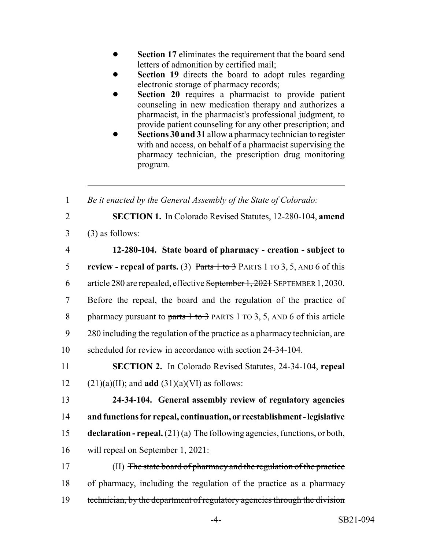- **Section 17** eliminates the requirement that the board send letters of admonition by certified mail;
- **Section 19** directs the board to adopt rules regarding electronic storage of pharmacy records;
- **Section 20** requires a pharmacist to provide patient counseling in new medication therapy and authorizes a pharmacist, in the pharmacist's professional judgment, to provide patient counseling for any other prescription; and
- **Sections 30 and 31 allow a pharmacy technician to register** with and access, on behalf of a pharmacist supervising the pharmacy technician, the prescription drug monitoring program.

1 *Be it enacted by the General Assembly of the State of Colorado:*

- 2 **SECTION 1.** In Colorado Revised Statutes, 12-280-104, **amend**
- $3 \qquad (3)$  as follows:

| $\overline{4}$ | 12-280-104. State board of pharmacy - creation - subject to                   |
|----------------|-------------------------------------------------------------------------------|
| 5              | review - repeal of parts. (3) Parts $1$ to $3$ PARTS 1 TO 3, 5, AND 6 of this |
| 6              | article 280 are repealed, effective September 1, 2021 SEPTEMBER 1, 2030.      |
| $\tau$         | Before the repeal, the board and the regulation of the practice of            |
| 8              | pharmacy pursuant to parts $1$ to $3$ PARTS 1 TO 3, 5, AND 6 of this article  |
| 9              | 280 including the regulation of the practice as a pharmacy technician, are    |
| 10             | scheduled for review in accordance with section 24-34-104.                    |
| 11             | <b>SECTION 2.</b> In Colorado Revised Statutes, 24-34-104, repeal             |
| 12             | $(21)(a)(II)$ ; and <b>add</b> $(31)(a)(VI)$ as follows:                      |
| 13             | 24-34-104. General assembly review of regulatory agencies                     |

14 **and functions for repeal, continuation, or reestablishment - legislative** 15 **declaration - repeal.** (21) (a) The following agencies, functions, or both, 16 will repeal on September 1, 2021:

17 (II) The state board of pharmacy and the regulation of the practice 18 of pharmacy, including the regulation of the practice as a pharmacy 19 technician, by the department of regulatory agencies through the division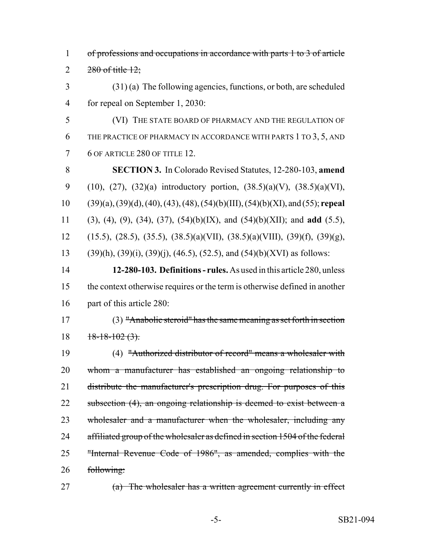| $\mathbf{1}$   | of professions and occupations in accordance with parts 1 to 3 of article                               |
|----------------|---------------------------------------------------------------------------------------------------------|
| $\overline{2}$ | $280$ of title $12$ ;                                                                                   |
| 3              | $(31)$ (a) The following agencies, functions, or both, are scheduled                                    |
| $\overline{4}$ | for repeal on September 1, 2030:                                                                        |
| 5              | (VI) THE STATE BOARD OF PHARMACY AND THE REGULATION OF                                                  |
| 6              | THE PRACTICE OF PHARMACY IN ACCORDANCE WITH PARTS 1 TO 3, 5, AND                                        |
| 7              | 6 OF ARTICLE 280 OF TITLE 12.                                                                           |
| 8              | <b>SECTION 3.</b> In Colorado Revised Statutes, 12-280-103, amend                                       |
| 9              | $(10)$ , $(27)$ , $(32)(a)$ introductory portion, $(38.5)(a)(V)$ , $(38.5)(a)(VI)$ ,                    |
| 10             | $(39)(a)$ , $(39)(d)$ , $(40)$ , $(43)$ , $(48)$ , $(54)(b)$ (III), $(54)(b)$ (XI), and $(55)$ ; repeal |
| 11             | $(3)$ , $(4)$ , $(9)$ , $(34)$ , $(37)$ , $(54)(b)(IX)$ , and $(54)(b)(XII)$ ; and <b>add</b> $(5.5)$ , |
| 12             | $(15.5), (28.5), (35.5), (38.5)(a)(VII), (38.5)(a)(VIII), (39)(f), (39)(g),$                            |
| 13             | $(39)(h)$ , $(39)(i)$ , $(39)(j)$ , $(46.5)$ , $(52.5)$ , and $(54)(b)(XVI)$ as follows:                |
| 14             | 12-280-103. Definitions - rules. As used in this article 280, unless                                    |
| 15             | the context otherwise requires or the term is otherwise defined in another                              |
| 16             | part of this article 280:                                                                               |
| 17             | $(3)$ "Anabolic steroid" has the same meaning as set forth in section                                   |
| 18             | $18-18-102(3)$ .                                                                                        |
| 19             | (4) "Authorized distributor of record" means a wholesaler with                                          |
| 20             | whom a manufacturer has established an ongoing relationship to                                          |
| 21             | distribute the manufacturer's prescription drug. For purposes of this                                   |
| 22             | subsection (4), an ongoing relationship is deemed to exist between a                                    |
| 23             | wholesaler and a manufacturer when the wholesaler, including any                                        |
| 24             | affiliated group of the wholesaler as defined in section 1504 of the federal                            |
| 25             | "Internal Revenue Code of 1986", as amended, complies with the                                          |
| 26             | following:                                                                                              |
| 27             | $(a)$ The wholesaler has a written agreement currently in effect                                        |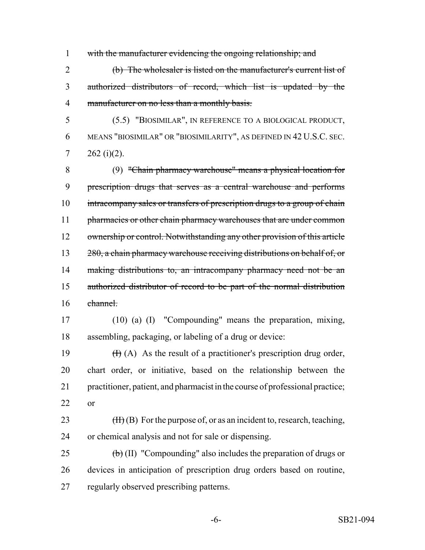with the manufacturer evidencing the ongoing relationship; and

 (b) The wholesaler is listed on the manufacturer's current list of authorized distributors of record, which list is updated by the manufacturer on no less than a monthly basis.

 (5.5) "BIOSIMILAR", IN REFERENCE TO A BIOLOGICAL PRODUCT, MEANS "BIOSIMILAR" OR "BIOSIMILARITY", AS DEFINED IN 42 U.S.C. SEC. 7  $262 (i)(2)$ .

 (9) "Chain pharmacy warehouse" means a physical location for prescription drugs that serves as a central warehouse and performs 10 intracompany sales or transfers of prescription drugs to a group of chain 11 pharmacies or other chain pharmacy warehouses that are under common 12 ownership or control. Notwithstanding any other provision of this article 13 280, a chain pharmacy warehouse receiving distributions on behalf of, or 14 making distributions to, an intracompany pharmacy need not be an authorized distributor of record to be part of the normal distribution channel.

 (10) (a) (I) "Compounding" means the preparation, mixing, assembling, packaging, or labeling of a drug or device:

 $(H)(A)$  As the result of a practitioner's prescription drug order, chart order, or initiative, based on the relationship between the practitioner, patient, and pharmacist in the course of professional practice; or

23  $(H)(B)$  For the purpose of, or as an incident to, research, teaching, or chemical analysis and not for sale or dispensing.

25  $\left(\frac{b}{b}\right)$  (II) "Compounding" also includes the preparation of drugs or devices in anticipation of prescription drug orders based on routine, regularly observed prescribing patterns.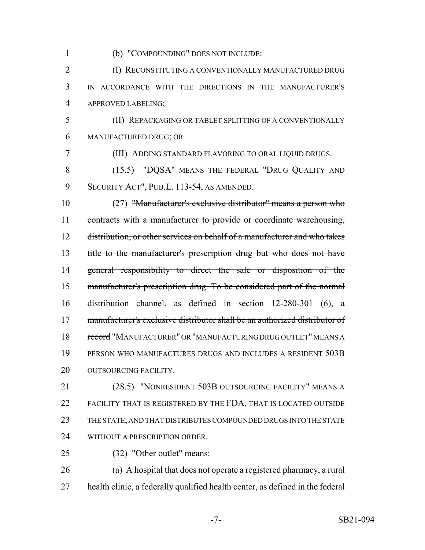(b) "COMPOUNDING" DOES NOT INCLUDE:

**(I) RECONSTITUTING A CONVENTIONALLY MANUFACTURED DRUG**  IN ACCORDANCE WITH THE DIRECTIONS IN THE MANUFACTURER'S APPROVED LABELING;

 (II) REPACKAGING OR TABLET SPLITTING OF A CONVENTIONALLY MANUFACTURED DRUG; OR

(III) ADDING STANDARD FLAVORING TO ORAL LIQUID DRUGS.

 (15.5) "DQSA" MEANS THE FEDERAL "DRUG QUALITY AND SECURITY ACT", PUB.L. 113-54, AS AMENDED.

 (27) "Manufacturer's exclusive distributor" means a person who 11 contracts with a manufacturer to provide or coordinate warehousing, distribution, or other services on behalf of a manufacturer and who takes title to the manufacturer's prescription drug but who does not have general responsibility to direct the sale or disposition of the manufacturer's prescription drug. To be considered part of the normal distribution channel, as defined in section 12-280-301 (6), a manufacturer's exclusive distributor shall be an authorized distributor of 18 record "MANUFACTURER" OR "MANUFACTURING DRUG OUTLET" MEANS A PERSON WHO MANUFACTURES DRUGS AND INCLUDES A RESIDENT 503B 20 OUTSOURCING FACILITY.

 (28.5) "NONRESIDENT 503B OUTSOURCING FACILITY" MEANS A FACILITY THAT IS REGISTERED BY THE FDA, THAT IS LOCATED OUTSIDE THE STATE, AND THAT DISTRIBUTES COMPOUNDED DRUGS INTO THE STATE 24 WITHOUT A PRESCRIPTION ORDER.

(32) "Other outlet" means:

 (a) A hospital that does not operate a registered pharmacy, a rural health clinic, a federally qualified health center, as defined in the federal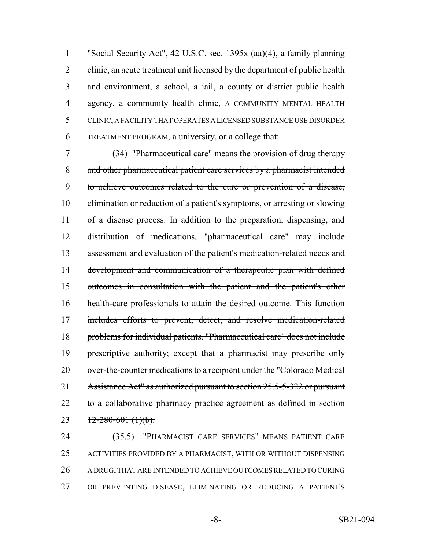"Social Security Act", 42 U.S.C. sec. 1395x (aa)(4), a family planning clinic, an acute treatment unit licensed by the department of public health and environment, a school, a jail, a county or district public health agency, a community health clinic, A COMMUNITY MENTAL HEALTH CLINIC, A FACILITY THAT OPERATES A LICENSED SUBSTANCE USE DISORDER TREATMENT PROGRAM, a university, or a college that:

 (34) "Pharmaceutical care" means the provision of drug therapy and other pharmaceutical patient care services by a pharmacist intended to achieve outcomes related to the cure or prevention of a disease, elimination or reduction of a patient's symptoms, or arresting or slowing 11 of a disease process. In addition to the preparation, dispensing, and distribution of medications, "pharmaceutical care" may include 13 assessment and evaluation of the patient's medication-related needs and development and communication of a therapeutic plan with defined outcomes in consultation with the patient and the patient's other health-care professionals to attain the desired outcome. This function 17 includes efforts to prevent, detect, and resolve medication-related problems for individual patients. "Pharmaceutical care" does not include 19 prescriptive authority; except that a pharmacist may prescribe only 20 over-the-counter medications to a recipient under the "Colorado Medical 21 Assistance Act" as authorized pursuant to section 25.5-5-322 or pursuant 22 to a collaborative pharmacy practice agreement as defined in section 23  $12 - 280 - 601$  (1)(b).

 (35.5) "PHARMACIST CARE SERVICES" MEANS PATIENT CARE ACTIVITIES PROVIDED BY A PHARMACIST, WITH OR WITHOUT DISPENSING A DRUG, THAT ARE INTENDED TO ACHIEVE OUTCOMES RELATED TO CURING OR PREVENTING DISEASE, ELIMINATING OR REDUCING A PATIENT'S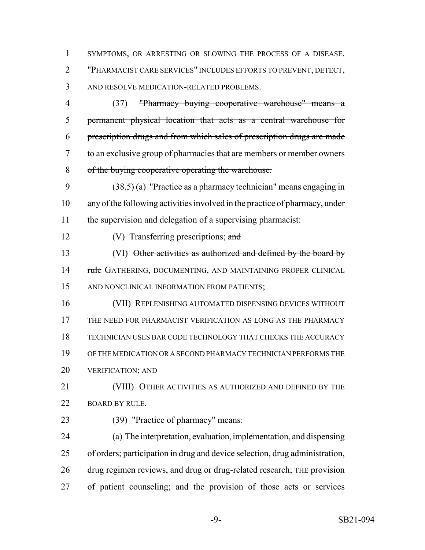SYMPTOMS, OR ARRESTING OR SLOWING THE PROCESS OF A DISEASE. "PHARMACIST CARE SERVICES" INCLUDES EFFORTS TO PREVENT, DETECT, AND RESOLVE MEDICATION-RELATED PROBLEMS.

 (37) "Pharmacy buying cooperative warehouse" means a permanent physical location that acts as a central warehouse for prescription drugs and from which sales of prescription drugs are made to an exclusive group of pharmacies that are members or member owners of the buying cooperative operating the warehouse.

 (38.5) (a) "Practice as a pharmacy technician" means engaging in any of the following activities involved in the practice of pharmacy, under the supervision and delegation of a supervising pharmacist:

12 (V) Transferring prescriptions; and

 (VI) Other activities as authorized and defined by the board by 14 rule GATHERING, DOCUMENTING, AND MAINTAINING PROPER CLINICAL AND NONCLINICAL INFORMATION FROM PATIENTS;

 (VII) REPLENISHING AUTOMATED DISPENSING DEVICES WITHOUT THE NEED FOR PHARMACIST VERIFICATION AS LONG AS THE PHARMACY TECHNICIAN USES BAR CODE TECHNOLOGY THAT CHECKS THE ACCURACY OF THE MEDICATION OR A SECOND PHARMACY TECHNICIAN PERFORMS THE VERIFICATION; AND

 (VIII) OTHER ACTIVITIES AS AUTHORIZED AND DEFINED BY THE 22 BOARD BY RULE.

(39) "Practice of pharmacy" means:

 (a) The interpretation, evaluation, implementation, and dispensing of orders; participation in drug and device selection, drug administration, drug regimen reviews, and drug or drug-related research; THE provision of patient counseling; and the provision of those acts or services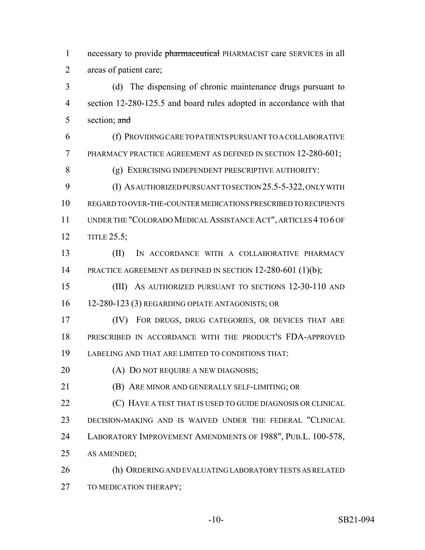1 necessary to provide pharmaceutical PHARMACIST care SERVICES in all areas of patient care;

 (d) The dispensing of chronic maintenance drugs pursuant to section 12-280-125.5 and board rules adopted in accordance with that 5 section; and

 (f) PROVIDING CARE TO PATIENTS PURSUANT TO A COLLABORATIVE PHARMACY PRACTICE AGREEMENT AS DEFINED IN SECTION 12-280-601;

(g) EXERCISING INDEPENDENT PRESCRIPTIVE AUTHORITY:

 (I) AS AUTHORIZED PURSUANT TO SECTION 25.5-5-322, ONLY WITH REGARD TO OVER-THE-COUNTER MEDICATIONS PRESCRIBED TO RECIPIENTS UNDER THE "COLORADO MEDICAL ASSISTANCE ACT", ARTICLES 4 TO 6 OF TITLE 25.5;

 (II) IN ACCORDANCE WITH A COLLABORATIVE PHARMACY 14 PRACTICE AGREEMENT AS DEFINED IN SECTION 12-280-601 (1)(b);

 (III) AS AUTHORIZED PURSUANT TO SECTIONS 12-30-110 AND 12-280-123 (3) REGARDING OPIATE ANTAGONISTS; OR

 (IV) FOR DRUGS, DRUG CATEGORIES, OR DEVICES THAT ARE PRESCRIBED IN ACCORDANCE WITH THE PRODUCT'S FDA-APPROVED LABELING AND THAT ARE LIMITED TO CONDITIONS THAT:

**(A) DO NOT REQUIRE A NEW DIAGNOSIS;** 

(B) ARE MINOR AND GENERALLY SELF-LIMITING; OR

 (C) HAVE A TEST THAT IS USED TO GUIDE DIAGNOSIS OR CLINICAL DECISION-MAKING AND IS WAIVED UNDER THE FEDERAL "CLINICAL LABORATORY IMPROVEMENT AMENDMENTS OF 1988", PUB.L. 100-578, AS AMENDED;

 (h) ORDERING AND EVALUATING LABORATORY TESTS AS RELATED 27 TO MEDICATION THERAPY;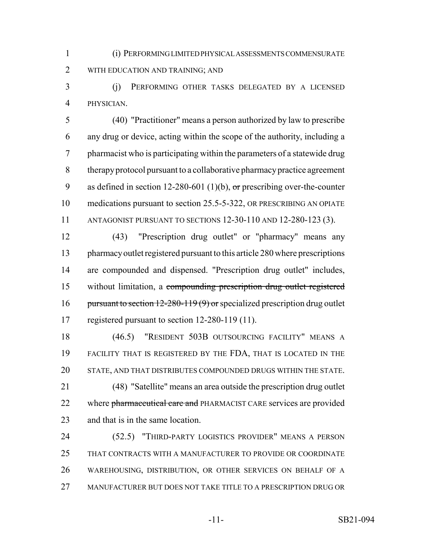(i) PERFORMING LIMITED PHYSICAL ASSESSMENTS COMMENSURATE WITH EDUCATION AND TRAINING; AND

 (j) PERFORMING OTHER TASKS DELEGATED BY A LICENSED PHYSICIAN.

 (40) "Practitioner" means a person authorized by law to prescribe any drug or device, acting within the scope of the authority, including a pharmacist who is participating within the parameters of a statewide drug therapy protocol pursuant to a collaborative pharmacy practice agreement 9 as defined in section 12-280-601 (1)(b), or prescribing over-the-counter medications pursuant to section 25.5-5-322, OR PRESCRIBING AN OPIATE ANTAGONIST PURSUANT TO SECTIONS 12-30-110 AND 12-280-123 (3).

 (43) "Prescription drug outlet" or "pharmacy" means any pharmacy outlet registered pursuant to this article 280 where prescriptions are compounded and dispensed. "Prescription drug outlet" includes, without limitation, a compounding prescription drug outlet registered 16 pursuant to section  $12-280-119(9)$  or specialized prescription drug outlet registered pursuant to section 12-280-119 (11).

 (46.5) "RESIDENT 503B OUTSOURCING FACILITY" MEANS A FACILITY THAT IS REGISTERED BY THE FDA, THAT IS LOCATED IN THE STATE, AND THAT DISTRIBUTES COMPOUNDED DRUGS WITHIN THE STATE. (48) "Satellite" means an area outside the prescription drug outlet 22 where pharmaceutical care and PHARMACIST CARE services are provided and that is in the same location.

 (52.5) "THIRD-PARTY LOGISTICS PROVIDER" MEANS A PERSON THAT CONTRACTS WITH A MANUFACTURER TO PROVIDE OR COORDINATE WAREHOUSING, DISTRIBUTION, OR OTHER SERVICES ON BEHALF OF A MANUFACTURER BUT DOES NOT TAKE TITLE TO A PRESCRIPTION DRUG OR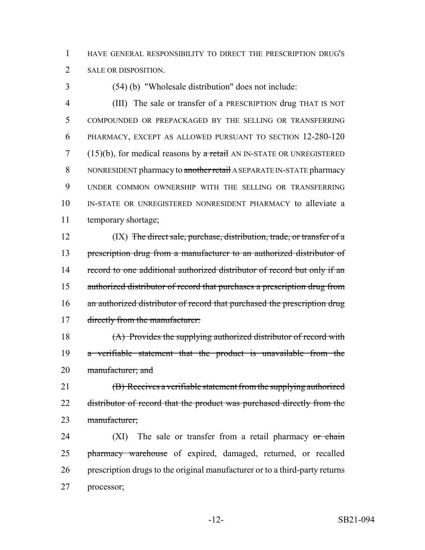1 HAVE GENERAL RESPONSIBILITY TO DIRECT THE PRESCRIPTION DRUG'S 2 SALE OR DISPOSITION.

3 (54) (b) "Wholesale distribution" does not include:

 (III) The sale or transfer of a PRESCRIPTION drug THAT IS NOT COMPOUNDED OR PREPACKAGED BY THE SELLING OR TRANSFERRING PHARMACY, EXCEPT AS ALLOWED PURSUANT TO SECTION 12-280-120 7 (15)(b), for medical reasons by  $\alpha$  retail AN IN-STATE OR UNREGISTERED 8 NONRESIDENT pharmacy to another retail A SEPARATE IN-STATE pharmacy UNDER COMMON OWNERSHIP WITH THE SELLING OR TRANSFERRING IN-STATE OR UNREGISTERED NONRESIDENT PHARMACY to alleviate a temporary shortage;

12 (IX) The direct sale, purchase, distribution, trade, or transfer of a 13 prescription drug from a manufacturer to an authorized distributor of 14 record to one additional authorized distributor of record but only if an 15 authorized distributor of record that purchases a prescription drug from 16 an authorized distributor of record that purchased the prescription drug 17 directly from the manufacturer:

18 (A) Provides the supplying authorized distributor of record with 19 a verifiable statement that the product is unavailable from the 20 manufacturer; and

21 (B) Receives a verifiable statement from the supplying authorized 22 distributor of record that the product was purchased directly from the 23 manufacturer;

24 (XI) The sale or transfer from a retail pharmacy or chain 25 pharmacy warehouse of expired, damaged, returned, or recalled 26 prescription drugs to the original manufacturer or to a third-party returns 27 processor;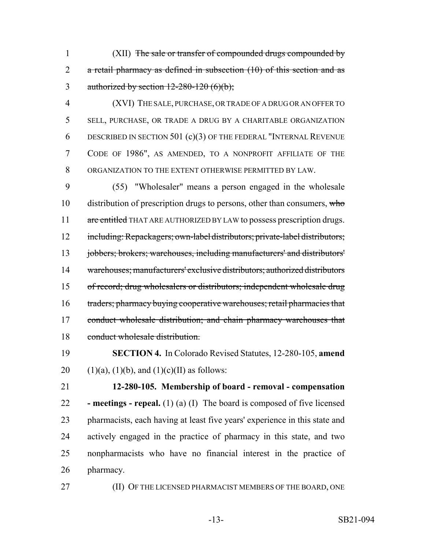(XII) The sale or transfer of compounded drugs compounded by 2 a retail pharmacy as defined in subsection (10) of this section and as 3 authorized by section  $12-280-120$  (6)(b);

 (XVI) THE SALE, PURCHASE, OR TRADE OF A DRUG OR AN OFFER TO SELL, PURCHASE, OR TRADE A DRUG BY A CHARITABLE ORGANIZATION DESCRIBED IN SECTION 501 (c)(3) OF THE FEDERAL "INTERNAL REVENUE CODE OF 1986", AS AMENDED, TO A NONPROFIT AFFILIATE OF THE ORGANIZATION TO THE EXTENT OTHERWISE PERMITTED BY LAW.

 (55) "Wholesaler" means a person engaged in the wholesale 10 distribution of prescription drugs to persons, other than consumers, who 11 are entitled THAT ARE AUTHORIZED BY LAW to possess prescription drugs. including: Repackagers; own-label distributors; private-label distributors; jobbers; brokers; warehouses, including manufacturers' and distributors' warehouses; manufacturers' exclusive distributors; authorized distributors of record; drug wholesalers or distributors; independent wholesale drug 16 traders; pharmacy buying cooperative warehouses; retail pharmacies that 17 conduct wholesale distribution; and chain pharmacy warehouses that conduct wholesale distribution.

 **SECTION 4.** In Colorado Revised Statutes, 12-280-105, **amend** 20 (1)(a), (1)(b), and (1)(c)(II) as follows:

 **12-280-105. Membership of board - removal - compensation - meetings - repeal.** (1) (a) (I) The board is composed of five licensed pharmacists, each having at least five years' experience in this state and actively engaged in the practice of pharmacy in this state, and two nonpharmacists who have no financial interest in the practice of pharmacy.

(II) OF THE LICENSED PHARMACIST MEMBERS OF THE BOARD, ONE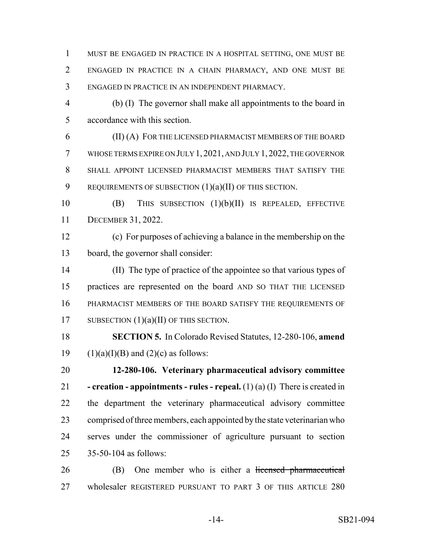MUST BE ENGAGED IN PRACTICE IN A HOSPITAL SETTING, ONE MUST BE ENGAGED IN PRACTICE IN A CHAIN PHARMACY, AND ONE MUST BE ENGAGED IN PRACTICE IN AN INDEPENDENT PHARMACY.

 (b) (I) The governor shall make all appointments to the board in accordance with this section.

 (II) (A) FOR THE LICENSED PHARMACIST MEMBERS OF THE BOARD WHOSE TERMS EXPIRE ON JULY 1, 2021, AND JULY 1,2022, THE GOVERNOR SHALL APPOINT LICENSED PHARMACIST MEMBERS THAT SATISFY THE 9 REQUIREMENTS OF SUBSECTION  $(1)(a)(II)$  OF THIS SECTION.

 (B) THIS SUBSECTION (1)(b)(II) IS REPEALED, EFFECTIVE DECEMBER 31, 2022.

 (c) For purposes of achieving a balance in the membership on the board, the governor shall consider:

 (II) The type of practice of the appointee so that various types of practices are represented on the board AND SO THAT THE LICENSED PHARMACIST MEMBERS OF THE BOARD SATISFY THE REQUIREMENTS OF 17 SUBSECTION  $(1)(a)(II)$  OF THIS SECTION.

 **SECTION 5.** In Colorado Revised Statutes, 12-280-106, **amend** 19 (1)(a)(I)(B) and (2)(c) as follows:

 **12-280-106. Veterinary pharmaceutical advisory committee - creation - appointments - rules - repeal.** (1) (a) (I) There is created in the department the veterinary pharmaceutical advisory committee comprised of three members, each appointed by the state veterinarian who serves under the commissioner of agriculture pursuant to section 35-50-104 as follows:

26 (B) One member who is either a licensed pharmaceutical wholesaler REGISTERED PURSUANT TO PART 3 OF THIS ARTICLE 280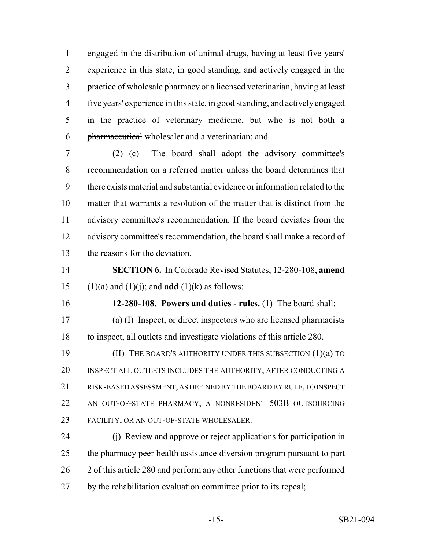engaged in the distribution of animal drugs, having at least five years' experience in this state, in good standing, and actively engaged in the practice of wholesale pharmacy or a licensed veterinarian, having at least five years' experience in this state, in good standing, and actively engaged in the practice of veterinary medicine, but who is not both a pharmaceutical wholesaler and a veterinarian; and

 (2) (c) The board shall adopt the advisory committee's recommendation on a referred matter unless the board determines that there exists material and substantial evidence or information related to the matter that warrants a resolution of the matter that is distinct from the 11 advisory committee's recommendation. If the board deviates from the 12 advisory committee's recommendation, the board shall make a record of the reasons for the deviation.

 **SECTION 6.** In Colorado Revised Statutes, 12-280-108, **amend** 15 (1)(a) and (1)(j); and **add** (1)(k) as follows:

**12-280-108. Powers and duties - rules.** (1) The board shall:

 (a) (I) Inspect, or direct inspectors who are licensed pharmacists to inspect, all outlets and investigate violations of this article 280.

 (II) THE BOARD'S AUTHORITY UNDER THIS SUBSECTION (1)(a) TO INSPECT ALL OUTLETS INCLUDES THE AUTHORITY, AFTER CONDUCTING A RISK-BASED ASSESSMENT, AS DEFINED BY THE BOARD BY RULE, TO INSPECT AN OUT-OF-STATE PHARMACY, A NONRESIDENT 503B OUTSOURCING FACILITY, OR AN OUT-OF-STATE WHOLESALER.

 (j) Review and approve or reject applications for participation in 25 the pharmacy peer health assistance diversion program pursuant to part 2 of this article 280 and perform any other functions that were performed by the rehabilitation evaluation committee prior to its repeal;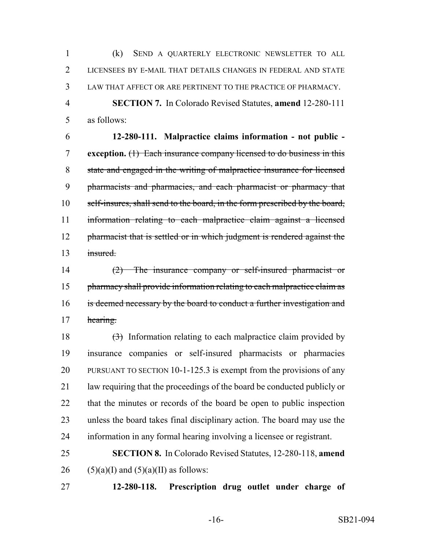(k) SEND A QUARTERLY ELECTRONIC NEWSLETTER TO ALL LICENSEES BY E-MAIL THAT DETAILS CHANGES IN FEDERAL AND STATE LAW THAT AFFECT OR ARE PERTINENT TO THE PRACTICE OF PHARMACY. **SECTION 7.** In Colorado Revised Statutes, **amend** 12-280-111

as follows:

 **12-280-111. Malpractice claims information - not public - exception.** (1) Each insurance company licensed to do business in this state and engaged in the writing of malpractice insurance for licensed pharmacists and pharmacies, and each pharmacist or pharmacy that self-insures, shall send to the board, in the form prescribed by the board, information relating to each malpractice claim against a licensed 12 pharmacist that is settled or in which judgment is rendered against the insured.

 (2) The insurance company or self-insured pharmacist or 15 pharmacy shall provide information relating to each malpractice claim as 16 is deemed necessary by the board to conduct a further investigation and 17 hearing.

 $\left(\frac{3}{2}\right)$  Information relating to each malpractice claim provided by insurance companies or self-insured pharmacists or pharmacies PURSUANT TO SECTION 10-1-125.3 is exempt from the provisions of any law requiring that the proceedings of the board be conducted publicly or that the minutes or records of the board be open to public inspection unless the board takes final disciplinary action. The board may use the information in any formal hearing involving a licensee or registrant.

 **SECTION 8.** In Colorado Revised Statutes, 12-280-118, **amend** 26 (5)(a)(I) and  $(5)(a)$ (II) as follows:

**12-280-118. Prescription drug outlet under charge of**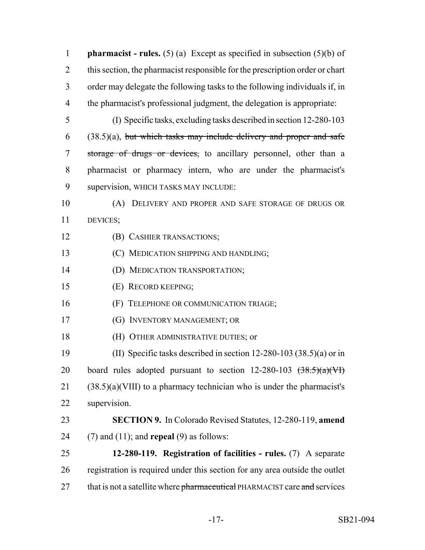| $\mathbf{1}$   | <b>pharmacist</b> - rules. (5) (a) Except as specified in subsection (5)(b) of   |
|----------------|----------------------------------------------------------------------------------|
| $\overline{2}$ | this section, the pharmacist responsible for the prescription order or chart     |
| 3              | order may delegate the following tasks to the following individuals if, in       |
| 4              | the pharmacist's professional judgment, the delegation is appropriate:           |
| 5              | (I) Specific tasks, excluding tasks described in section 12-280-103              |
| 6              | $(38.5)(a)$ , but which tasks may include delivery and proper and safe           |
| 7              | storage of drugs or devices, to ancillary personnel, other than a                |
| 8              | pharmacist or pharmacy intern, who are under the pharmacist's                    |
| 9              | supervision, WHICH TASKS MAY INCLUDE:                                            |
| 10             | (A) DELIVERY AND PROPER AND SAFE STORAGE OF DRUGS OR                             |
| 11             | DEVICES;                                                                         |
| 12             | (B) CASHIER TRANSACTIONS;                                                        |
| 13             | (C) MEDICATION SHIPPING AND HANDLING;                                            |
| 14             | (D) MEDICATION TRANSPORTATION;                                                   |
| 15             | (E) RECORD KEEPING;                                                              |
| 16             | (F) TELEPHONE OR COMMUNICATION TRIAGE;                                           |
| 17             | (G) INVENTORY MANAGEMENT; OR                                                     |
| 18             | (H) OTHER ADMINISTRATIVE DUTIES; or                                              |
| 19             | (II) Specific tasks described in section 12-280-103 $(38.5)(a)$ or in            |
| 20             | board rules adopted pursuant to section $12-280-103 \quad (\frac{38.5}{(a)}(Vf)$ |
| 21             | $(38.5)(a)(VIII)$ to a pharmacy technician who is under the pharmacist's         |
| 22             | supervision.                                                                     |
| 23             | <b>SECTION 9.</b> In Colorado Revised Statutes, 12-280-119, amend                |
| 24             | $(7)$ and $(11)$ ; and <b>repeal</b> $(9)$ as follows:                           |
| 25             | 12-280-119. Registration of facilities - rules. $(7)$ A separate                 |
| 26             | registration is required under this section for any area outside the outlet      |
| 27             | that is not a satellite where pharmaceutical PHARMACIST care and services        |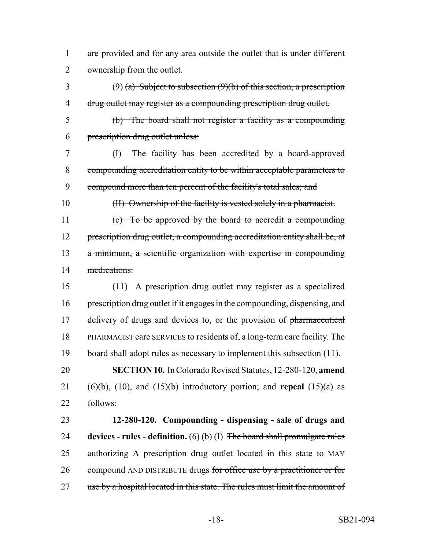are provided and for any area outside the outlet that is under different ownership from the outlet.

3 (9) (a) Subject to subsection (9)(b) of this section, a prescription drug outlet may register as a compounding prescription drug outlet.

- (b) The board shall not register a facility as a compounding prescription drug outlet unless:
- (I) The facility has been accredited by a board-approved compounding accreditation entity to be within acceptable parameters to 9 compound more than ten percent of the facility's total sales; and
- (II) Ownership of the facility is vested solely in a pharmacist.

 (c) To be approved by the board to accredit a compounding 12 prescription drug outlet, a compounding accreditation entity shall be, at a minimum, a scientific organization with expertise in compounding medications.

- (11) A prescription drug outlet may register as a specialized prescription drug outlet if it engages in the compounding, dispensing, and 17 delivery of drugs and devices to, or the provision of pharmaceutical PHARMACIST care SERVICES to residents of, a long-term care facility. The board shall adopt rules as necessary to implement this subsection (11). **SECTION 10.** In Colorado Revised Statutes, 12-280-120, **amend** (6)(b), (10), and (15)(b) introductory portion; and **repeal** (15)(a) as follows:
- **12-280-120. Compounding dispensing sale of drugs and devices - rules - definition.** (6) (b) (I) The board shall promulgate rules 25 authorizing A prescription drug outlet located in this state to MAY 26 compound AND DISTRIBUTE drugs for office use by a practitioner or for 27 use by a hospital located in this state. The rules must limit the amount of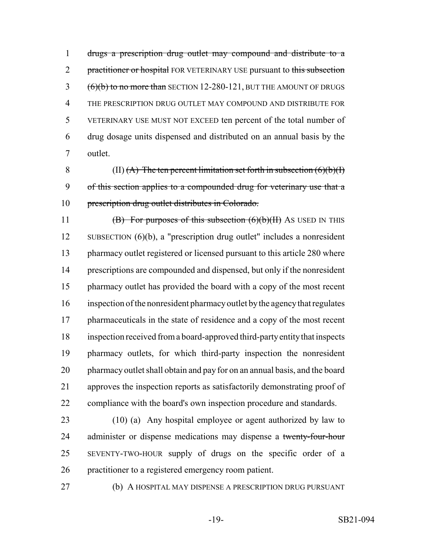drugs a prescription drug outlet may compound and distribute to a 2 practitioner or hospital FOR VETERINARY USE pursuant to this subsection 3 (6)(b) to no more than SECTION 12-280-121, BUT THE AMOUNT OF DRUGS THE PRESCRIPTION DRUG OUTLET MAY COMPOUND AND DISTRIBUTE FOR VETERINARY USE MUST NOT EXCEED ten percent of the total number of drug dosage units dispensed and distributed on an annual basis by the outlet.

8 (II)  $(A)$  The ten percent limitation set forth in subsection  $(6)(b)(I)$  of this section applies to a compounded drug for veterinary use that a 10 prescription drug outlet distributes in Colorado.

**(B)** For purposes of this subsection  $(6)(b)(H)$  As USED IN THIS SUBSECTION (6)(b), a "prescription drug outlet" includes a nonresident 13 pharmacy outlet registered or licensed pursuant to this article 280 where prescriptions are compounded and dispensed, but only if the nonresident pharmacy outlet has provided the board with a copy of the most recent inspection of the nonresident pharmacy outlet by the agency that regulates 17 pharmaceuticals in the state of residence and a copy of the most recent inspection received from a board-approved third-party entity that inspects pharmacy outlets, for which third-party inspection the nonresident pharmacy outlet shall obtain and pay for on an annual basis, and the board approves the inspection reports as satisfactorily demonstrating proof of compliance with the board's own inspection procedure and standards.

 (10) (a) Any hospital employee or agent authorized by law to 24 administer or dispense medications may dispense a twenty-four-hour SEVENTY-TWO-HOUR supply of drugs on the specific order of a practitioner to a registered emergency room patient.

(b) A HOSPITAL MAY DISPENSE A PRESCRIPTION DRUG PURSUANT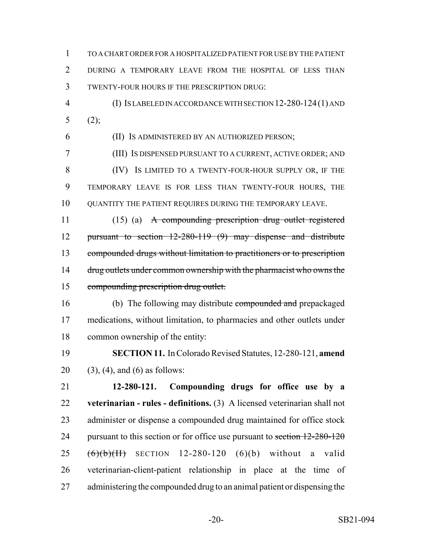TO A CHART ORDER FOR A HOSPITALIZED PATIENT FOR USE BY THE PATIENT DURING A TEMPORARY LEAVE FROM THE HOSPITAL OF LESS THAN TWENTY-FOUR HOURS IF THE PRESCRIPTION DRUG:

 (I) IS LABELED IN ACCORDANCE WITH SECTION 12-280-124(1) AND 5 (2);

(II) IS ADMINISTERED BY AN AUTHORIZED PERSON;

 (III) IS DISPENSED PURSUANT TO A CURRENT, ACTIVE ORDER; AND (IV) IS LIMITED TO A TWENTY-FOUR-HOUR SUPPLY OR, IF THE TEMPORARY LEAVE IS FOR LESS THAN TWENTY-FOUR HOURS, THE QUANTITY THE PATIENT REQUIRES DURING THE TEMPORARY LEAVE.

 (15) (a) A compounding prescription drug outlet registered pursuant to section 12-280-119 (9) may dispense and distribute compounded drugs without limitation to practitioners or to prescription 14 drug outlets under common ownership with the pharmacist who owns the compounding prescription drug outlet.

16 (b) The following may distribute compounded and prepackaged medications, without limitation, to pharmacies and other outlets under common ownership of the entity:

 **SECTION 11.** In Colorado Revised Statutes, 12-280-121, **amend** 20 (3), (4), and (6) as follows:

 **12-280-121. Compounding drugs for office use by a veterinarian - rules - definitions.** (3) A licensed veterinarian shall not administer or dispense a compounded drug maintained for office stock 24 pursuant to this section or for office use pursuant to section  $12-280-120$  $(6)(b)(H)$  SECTION 12-280-120  $(6)(b)$  without a valid veterinarian-client-patient relationship in place at the time of administering the compounded drug to an animal patient or dispensing the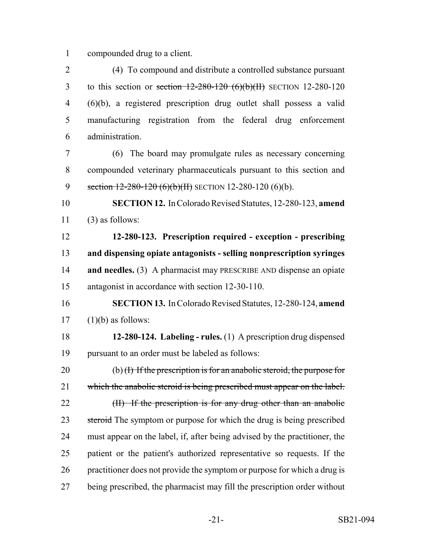compounded drug to a client.

 (4) To compound and distribute a controlled substance pursuant 3 to this section or section  $12-280-120$  (6)(b)(II) SECTION 12-280-120 (6)(b), a registered prescription drug outlet shall possess a valid manufacturing registration from the federal drug enforcement administration.

 (6) The board may promulgate rules as necessary concerning compounded veterinary pharmaceuticals pursuant to this section and 9 section 12-280-120 (6)(b)(II) SECTION 12-280-120 (6)(b).

 **SECTION 12.** In Colorado Revised Statutes, 12-280-123, **amend** (3) as follows:

 **12-280-123. Prescription required - exception - prescribing and dispensing opiate antagonists - selling nonprescription syringes and needles.** (3) A pharmacist may PRESCRIBE AND dispense an opiate antagonist in accordance with section 12-30-110.

- **SECTION 13.** In Colorado Revised Statutes, 12-280-124, **amend** (1)(b) as follows:
- **12-280-124. Labeling rules.** (1) A prescription drug dispensed pursuant to an order must be labeled as follows:

20 (b)  $(H)$  If the prescription is for an anabolic steroid, the purpose for 21 which the anabolic steroid is being prescribed must appear on the label. 22 (II) If the prescription is for any drug other than an anabolic 23 steroid The symptom or purpose for which the drug is being prescribed must appear on the label, if, after being advised by the practitioner, the patient or the patient's authorized representative so requests. If the practitioner does not provide the symptom or purpose for which a drug is being prescribed, the pharmacist may fill the prescription order without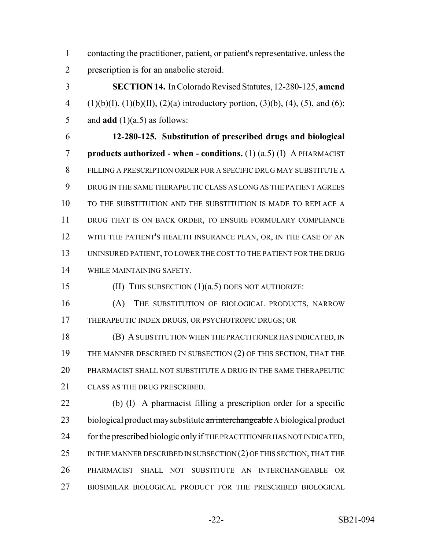1 contacting the practitioner, patient, or patient's representative. unless the prescription is for an anabolic steroid.

 **SECTION 14.** In Colorado Revised Statutes, 12-280-125, **amend** 4 (1)(b)(I), (1)(b)(II), (2)(a) introductory portion, (3)(b), (4), (5), and (6); 5 and  $add(1)(a.5)$  as follows:

 **12-280-125. Substitution of prescribed drugs and biological products authorized - when - conditions.** (1) (a.5) (I) A PHARMACIST FILLING A PRESCRIPTION ORDER FOR A SPECIFIC DRUG MAY SUBSTITUTE A DRUG IN THE SAME THERAPEUTIC CLASS AS LONG AS THE PATIENT AGREES TO THE SUBSTITUTION AND THE SUBSTITUTION IS MADE TO REPLACE A DRUG THAT IS ON BACK ORDER, TO ENSURE FORMULARY COMPLIANCE WITH THE PATIENT'S HEALTH INSURANCE PLAN, OR, IN THE CASE OF AN UNINSURED PATIENT, TO LOWER THE COST TO THE PATIENT FOR THE DRUG WHILE MAINTAINING SAFETY.

(II) THIS SUBSECTION (1)(a.5) DOES NOT AUTHORIZE:

 (A) THE SUBSTITUTION OF BIOLOGICAL PRODUCTS, NARROW THERAPEUTIC INDEX DRUGS, OR PSYCHOTROPIC DRUGS; OR

 (B) A SUBSTITUTION WHEN THE PRACTITIONER HAS INDICATED, IN 19 THE MANNER DESCRIBED IN SUBSECTION (2) OF THIS SECTION, THAT THE PHARMACIST SHALL NOT SUBSTITUTE A DRUG IN THE SAME THERAPEUTIC CLASS AS THE DRUG PRESCRIBED.

 (b) (I) A pharmacist filling a prescription order for a specific 23 biological product may substitute an interchangeable A biological product for the prescribed biologic only if THE PRACTITIONER HAS NOT INDICATED, 25 IN THE MANNER DESCRIBED IN SUBSECTION (2) OF THIS SECTION, THAT THE PHARMACIST SHALL NOT SUBSTITUTE AN INTERCHANGEABLE OR BIOSIMILAR BIOLOGICAL PRODUCT FOR THE PRESCRIBED BIOLOGICAL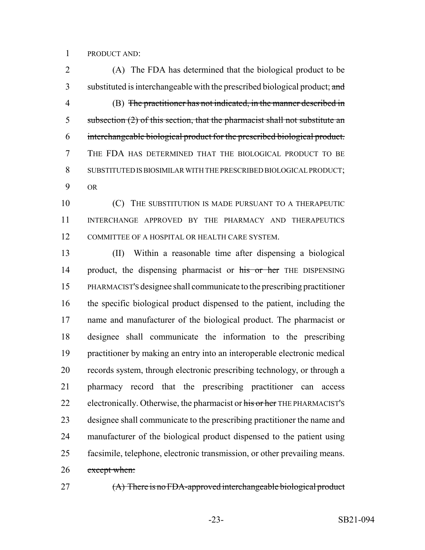PRODUCT AND:

 (A) The FDA has determined that the biological product to be 3 substituted is interchangeable with the prescribed biological product; and (B) The practitioner has not indicated, in the manner described in 5 subsection (2) of this section, that the pharmacist shall not substitute an interchangeable biological product for the prescribed biological product. THE FDA HAS DETERMINED THAT THE BIOLOGICAL PRODUCT TO BE SUBSTITUTED IS BIOSIMILAR WITH THE PRESCRIBED BIOLOGICAL PRODUCT; OR

**(C)** THE SUBSTITUTION IS MADE PURSUANT TO A THERAPEUTIC INTERCHANGE APPROVED BY THE PHARMACY AND THERAPEUTICS COMMITTEE OF A HOSPITAL OR HEALTH CARE SYSTEM.

 (II) Within a reasonable time after dispensing a biological 14 product, the dispensing pharmacist or his or her THE DISPENSING PHARMACIST'S designee shall communicate to the prescribing practitioner the specific biological product dispensed to the patient, including the name and manufacturer of the biological product. The pharmacist or designee shall communicate the information to the prescribing practitioner by making an entry into an interoperable electronic medical records system, through electronic prescribing technology, or through a pharmacy record that the prescribing practitioner can access 22 electronically. Otherwise, the pharmacist or his or her THE PHARMACIST's designee shall communicate to the prescribing practitioner the name and manufacturer of the biological product dispensed to the patient using facsimile, telephone, electronic transmission, or other prevailing means. 26 except when:

27 (A) There is no FDA-approved interchangeable biological product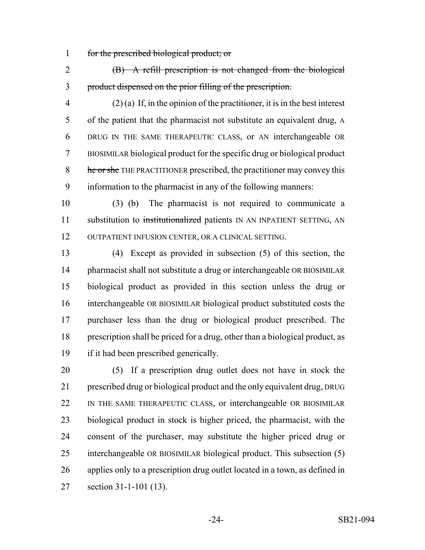for the prescribed biological product; or

 (B) A refill prescription is not changed from the biological product dispensed on the prior filling of the prescription.

 (2) (a) If, in the opinion of the practitioner, it is in the best interest of the patient that the pharmacist not substitute an equivalent drug, A DRUG IN THE SAME THERAPEUTIC CLASS, or AN interchangeable OR BIOSIMILAR biological product for the specific drug or biological product 8 he or she THE PRACTITIONER prescribed, the practitioner may convey this information to the pharmacist in any of the following manners:

 (3) (b) The pharmacist is not required to communicate a 11 substitution to institutionalized patients IN AN INPATIENT SETTING, AN OUTPATIENT INFUSION CENTER, OR A CLINICAL SETTING.

 (4) Except as provided in subsection (5) of this section, the 14 pharmacist shall not substitute a drug or interchangeable OR BIOSIMILAR biological product as provided in this section unless the drug or interchangeable OR BIOSIMILAR biological product substituted costs the purchaser less than the drug or biological product prescribed. The prescription shall be priced for a drug, other than a biological product, as if it had been prescribed generically.

 (5) If a prescription drug outlet does not have in stock the prescribed drug or biological product and the only equivalent drug, DRUG IN THE SAME THERAPEUTIC CLASS, or interchangeable OR BIOSIMILAR biological product in stock is higher priced, the pharmacist, with the consent of the purchaser, may substitute the higher priced drug or interchangeable OR BIOSIMILAR biological product. This subsection (5) applies only to a prescription drug outlet located in a town, as defined in section 31-1-101 (13).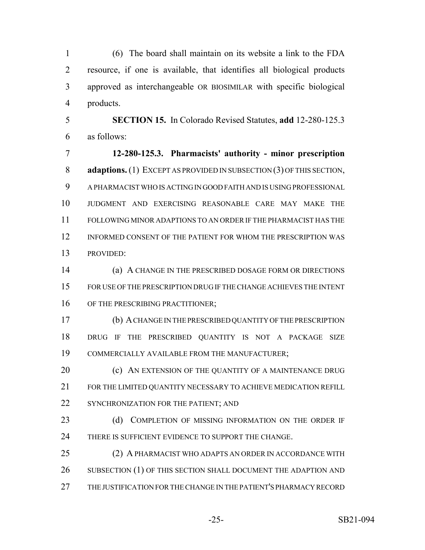(6) The board shall maintain on its website a link to the FDA resource, if one is available, that identifies all biological products approved as interchangeable OR BIOSIMILAR with specific biological products.

 **SECTION 15.** In Colorado Revised Statutes, **add** 12-280-125.3 as follows:

 **12-280-125.3. Pharmacists' authority - minor prescription adaptions.** (1) EXCEPT AS PROVIDED IN SUBSECTION (3) OF THIS SECTION, A PHARMACIST WHO IS ACTING IN GOOD FAITH AND IS USING PROFESSIONAL JUDGMENT AND EXERCISING REASONABLE CARE MAY MAKE THE FOLLOWING MINOR ADAPTIONS TO AN ORDER IF THE PHARMACIST HAS THE INFORMED CONSENT OF THE PATIENT FOR WHOM THE PRESCRIPTION WAS PROVIDED:

 (a) A CHANGE IN THE PRESCRIBED DOSAGE FORM OR DIRECTIONS FOR USE OF THE PRESCRIPTION DRUG IF THE CHANGE ACHIEVES THE INTENT 16 OF THE PRESCRIBING PRACTITIONER;

 (b) A CHANGE IN THE PRESCRIBED QUANTITY OF THE PRESCRIPTION DRUG IF THE PRESCRIBED QUANTITY IS NOT A PACKAGE SIZE COMMERCIALLY AVAILABLE FROM THE MANUFACTURER;

**(c)** AN EXTENSION OF THE QUANTITY OF A MAINTENANCE DRUG FOR THE LIMITED QUANTITY NECESSARY TO ACHIEVE MEDICATION REFILL 22 SYNCHRONIZATION FOR THE PATIENT; AND

23 (d) COMPLETION OF MISSING INFORMATION ON THE ORDER IF 24 THERE IS SUFFICIENT EVIDENCE TO SUPPORT THE CHANGE.

 (2) A PHARMACIST WHO ADAPTS AN ORDER IN ACCORDANCE WITH 26 SUBSECTION (1) OF THIS SECTION SHALL DOCUMENT THE ADAPTION AND THE JUSTIFICATION FOR THE CHANGE IN THE PATIENT'S PHARMACY RECORD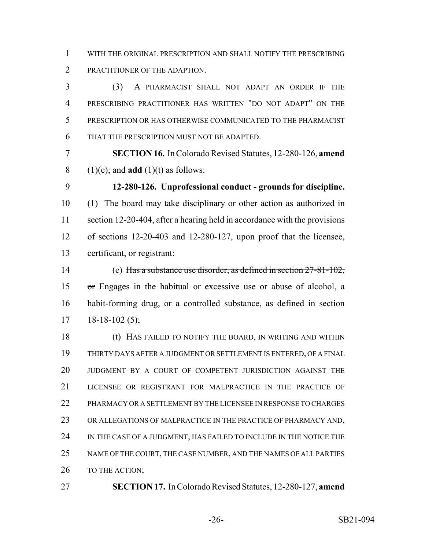WITH THE ORIGINAL PRESCRIPTION AND SHALL NOTIFY THE PRESCRIBING PRACTITIONER OF THE ADAPTION.

 (3) A PHARMACIST SHALL NOT ADAPT AN ORDER IF THE PRESCRIBING PRACTITIONER HAS WRITTEN "DO NOT ADAPT" ON THE PRESCRIPTION OR HAS OTHERWISE COMMUNICATED TO THE PHARMACIST THAT THE PRESCRIPTION MUST NOT BE ADAPTED.

 **SECTION 16.** In Colorado Revised Statutes, 12-280-126, **amend** 8 (1)(e); and **add** (1)(t) as follows:

 **12-280-126. Unprofessional conduct - grounds for discipline.** (1) The board may take disciplinary or other action as authorized in section 12-20-404, after a hearing held in accordance with the provisions of sections 12-20-403 and 12-280-127, upon proof that the licensee, certificant, or registrant:

 (e) Has a substance use disorder, as defined in section 27-81-102, or Engages in the habitual or excessive use or abuse of alcohol, a habit-forming drug, or a controlled substance, as defined in section  $17 \quad 18-18-102 \tag{5};$ 

 (t) HAS FAILED TO NOTIFY THE BOARD, IN WRITING AND WITHIN THIRTY DAYS AFTER A JUDGMENT OR SETTLEMENT IS ENTERED, OF A FINAL JUDGMENT BY A COURT OF COMPETENT JURISDICTION AGAINST THE LICENSEE OR REGISTRANT FOR MALPRACTICE IN THE PRACTICE OF 22 PHARMACY OR A SETTLEMENT BY THE LICENSEE IN RESPONSE TO CHARGES OR ALLEGATIONS OF MALPRACTICE IN THE PRACTICE OF PHARMACY AND, 24 IN THE CASE OF A JUDGMENT, HAS FAILED TO INCLUDE IN THE NOTICE THE NAME OF THE COURT, THE CASE NUMBER, AND THE NAMES OF ALL PARTIES 26 TO THE ACTION;

**SECTION 17.** In Colorado Revised Statutes, 12-280-127, **amend**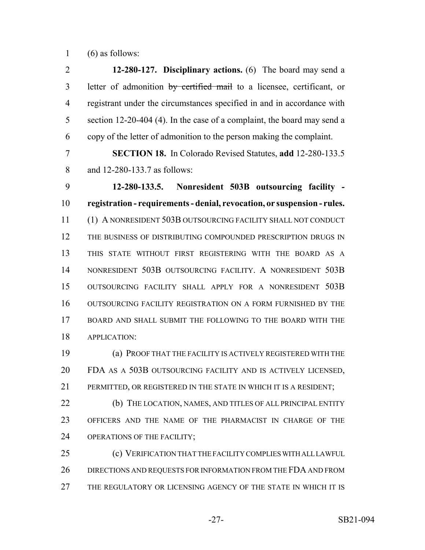(6) as follows:

 **12-280-127. Disciplinary actions.** (6) The board may send a 3 letter of admonition by certified mail to a licensee, certificant, or registrant under the circumstances specified in and in accordance with 5 section 12-20-404 (4). In the case of a complaint, the board may send a copy of the letter of admonition to the person making the complaint. **SECTION 18.** In Colorado Revised Statutes, **add** 12-280-133.5 and 12-280-133.7 as follows: **12-280-133.5. Nonresident 503B outsourcing facility - registration - requirements - denial, revocation, or suspension - rules.** (1) A NONRESIDENT 503B OUTSOURCING FACILITY SHALL NOT CONDUCT THE BUSINESS OF DISTRIBUTING COMPOUNDED PRESCRIPTION DRUGS IN THIS STATE WITHOUT FIRST REGISTERING WITH THE BOARD AS A NONRESIDENT 503B OUTSOURCING FACILITY. A NONRESIDENT 503B OUTSOURCING FACILITY SHALL APPLY FOR A NONRESIDENT 503B OUTSOURCING FACILITY REGISTRATION ON A FORM FURNISHED BY THE BOARD AND SHALL SUBMIT THE FOLLOWING TO THE BOARD WITH THE APPLICATION: (a) PROOF THAT THE FACILITY IS ACTIVELY REGISTERED WITH THE

 FDA AS A 503B OUTSOURCING FACILITY AND IS ACTIVELY LICENSED, PERMITTED, OR REGISTERED IN THE STATE IN WHICH IT IS A RESIDENT;

 (b) THE LOCATION, NAMES, AND TITLES OF ALL PRINCIPAL ENTITY OFFICERS AND THE NAME OF THE PHARMACIST IN CHARGE OF THE OPERATIONS OF THE FACILITY;

 (c) VERIFICATION THAT THE FACILITY COMPLIES WITH ALL LAWFUL DIRECTIONS AND REQUESTS FOR INFORMATION FROM THE FDA AND FROM THE REGULATORY OR LICENSING AGENCY OF THE STATE IN WHICH IT IS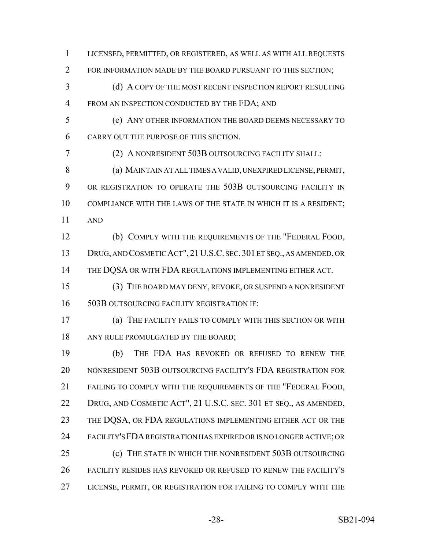2 FOR INFORMATION MADE BY THE BOARD PURSUANT TO THIS SECTION; 3 (d) A COPY OF THE MOST RECENT INSPECTION REPORT RESULTING 4 FROM AN INSPECTION CONDUCTED BY THE FDA; AND (e) ANY OTHER INFORMATION THE BOARD DEEMS NECESSARY TO CARRY OUT THE PURPOSE OF THIS SECTION. (2) A NONRESIDENT 503B OUTSOURCING FACILITY SHALL: (a) MAINTAIN AT ALL TIMES A VALID, UNEXPIRED LICENSE, PERMIT, 9 OR REGISTRATION TO OPERATE THE 503B OUTSOURCING FACILITY IN COMPLIANCE WITH THE LAWS OF THE STATE IN WHICH IT IS A RESIDENT; AND (b) COMPLY WITH THE REQUIREMENTS OF THE "FEDERAL FOOD, DRUG, AND COSMETIC ACT",21U.S.C. SEC.301 ET SEQ., AS AMENDED, OR 14 THE DQSA OR WITH FDA REGULATIONS IMPLEMENTING EITHER ACT. (3) THE BOARD MAY DENY, REVOKE, OR SUSPEND A NONRESIDENT 503B OUTSOURCING FACILITY REGISTRATION IF: (a) THE FACILITY FAILS TO COMPLY WITH THIS SECTION OR WITH 18 ANY RULE PROMULGATED BY THE BOARD; (b) THE FDA HAS REVOKED OR REFUSED TO RENEW THE NONRESIDENT 503B OUTSOURCING FACILITY'S FDA REGISTRATION FOR FAILING TO COMPLY WITH THE REQUIREMENTS OF THE "FEDERAL FOOD, DRUG, AND COSMETIC ACT", 21 U.S.C. SEC. 301 ET SEQ., AS AMENDED, 23 THE DQSA, OR FDA REGULATIONS IMPLEMENTING EITHER ACT OR THE FACILITY'S FDA REGISTRATION HAS EXPIRED OR IS NO LONGER ACTIVE; OR (c) THE STATE IN WHICH THE NONRESIDENT 503B OUTSOURCING FACILITY RESIDES HAS REVOKED OR REFUSED TO RENEW THE FACILITY'S LICENSE, PERMIT, OR REGISTRATION FOR FAILING TO COMPLY WITH THE

LICENSED, PERMITTED, OR REGISTERED, AS WELL AS WITH ALL REQUESTS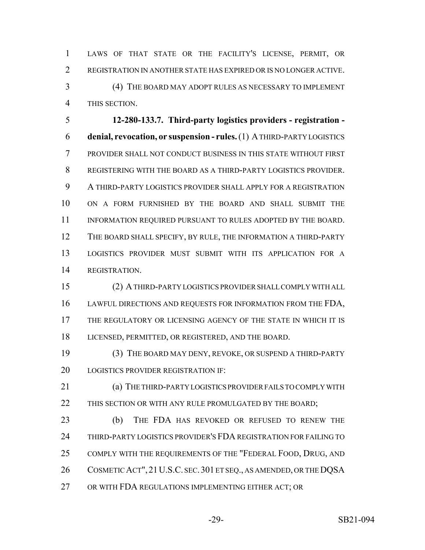LAWS OF THAT STATE OR THE FACILITY'S LICENSE, PERMIT, OR REGISTRATION IN ANOTHER STATE HAS EXPIRED OR IS NO LONGER ACTIVE.

 (4) THE BOARD MAY ADOPT RULES AS NECESSARY TO IMPLEMENT THIS SECTION.

 **12-280-133.7. Third-party logistics providers - registration - denial, revocation, or suspension - rules.** (1) A THIRD-PARTY LOGISTICS PROVIDER SHALL NOT CONDUCT BUSINESS IN THIS STATE WITHOUT FIRST REGISTERING WITH THE BOARD AS A THIRD-PARTY LOGISTICS PROVIDER. A THIRD-PARTY LOGISTICS PROVIDER SHALL APPLY FOR A REGISTRATION ON A FORM FURNISHED BY THE BOARD AND SHALL SUBMIT THE 11 INFORMATION REQUIRED PURSUANT TO RULES ADOPTED BY THE BOARD. THE BOARD SHALL SPECIFY, BY RULE, THE INFORMATION A THIRD-PARTY LOGISTICS PROVIDER MUST SUBMIT WITH ITS APPLICATION FOR A REGISTRATION.

 (2) A THIRD-PARTY LOGISTICS PROVIDER SHALL COMPLY WITH ALL 16 LAWFUL DIRECTIONS AND REQUESTS FOR INFORMATION FROM THE FDA, THE REGULATORY OR LICENSING AGENCY OF THE STATE IN WHICH IT IS LICENSED, PERMITTED, OR REGISTERED, AND THE BOARD.

 (3) THE BOARD MAY DENY, REVOKE, OR SUSPEND A THIRD-PARTY LOGISTICS PROVIDER REGISTRATION IF:

 (a) THE THIRD-PARTY LOGISTICS PROVIDER FAILS TO COMPLY WITH 22 THIS SECTION OR WITH ANY RULE PROMULGATED BY THE BOARD;

 (b) THE FDA HAS REVOKED OR REFUSED TO RENEW THE THIRD-PARTY LOGISTICS PROVIDER'S FDA REGISTRATION FOR FAILING TO 25 COMPLY WITH THE REQUIREMENTS OF THE "FEDERAL FOOD, DRUG, AND 26 COSMETIC ACT", 21 U.S.C. SEC. 301 ET SEQ., AS AMENDED, OR THE DOSA OR WITH FDA REGULATIONS IMPLEMENTING EITHER ACT; OR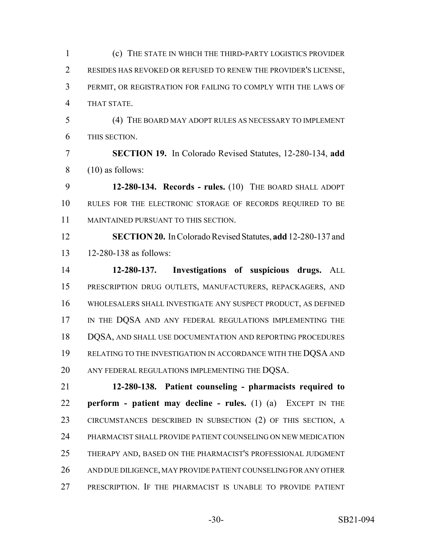(c) THE STATE IN WHICH THE THIRD-PARTY LOGISTICS PROVIDER RESIDES HAS REVOKED OR REFUSED TO RENEW THE PROVIDER'S LICENSE, PERMIT, OR REGISTRATION FOR FAILING TO COMPLY WITH THE LAWS OF THAT STATE.

 (4) THE BOARD MAY ADOPT RULES AS NECESSARY TO IMPLEMENT THIS SECTION.

 **SECTION 19.** In Colorado Revised Statutes, 12-280-134, **add**  $8 \qquad (10)$  as follows:

 **12-280-134. Records - rules.** (10) THE BOARD SHALL ADOPT RULES FOR THE ELECTRONIC STORAGE OF RECORDS REQUIRED TO BE MAINTAINED PURSUANT TO THIS SECTION.

 **SECTION 20.** In Colorado Revised Statutes, **add** 12-280-137 and 12-280-138 as follows:

 **12-280-137. Investigations of suspicious drugs.** ALL PRESCRIPTION DRUG OUTLETS, MANUFACTURERS, REPACKAGERS, AND WHOLESALERS SHALL INVESTIGATE ANY SUSPECT PRODUCT, AS DEFINED 17 IN THE DQSA AND ANY FEDERAL REGULATIONS IMPLEMENTING THE 18 DQSA, AND SHALL USE DOCUMENTATION AND REPORTING PROCEDURES 19 RELATING TO THE INVESTIGATION IN ACCORDANCE WITH THE DQSA AND 20 ANY FEDERAL REGULATIONS IMPLEMENTING THE DQSA.

 **12-280-138. Patient counseling - pharmacists required to perform - patient may decline - rules.** (1) (a) EXCEPT IN THE CIRCUMSTANCES DESCRIBED IN SUBSECTION (2) OF THIS SECTION, A PHARMACIST SHALL PROVIDE PATIENT COUNSELING ON NEW MEDICATION THERAPY AND, BASED ON THE PHARMACIST'S PROFESSIONAL JUDGMENT AND DUE DILIGENCE, MAY PROVIDE PATIENT COUNSELING FOR ANY OTHER PRESCRIPTION. IF THE PHARMACIST IS UNABLE TO PROVIDE PATIENT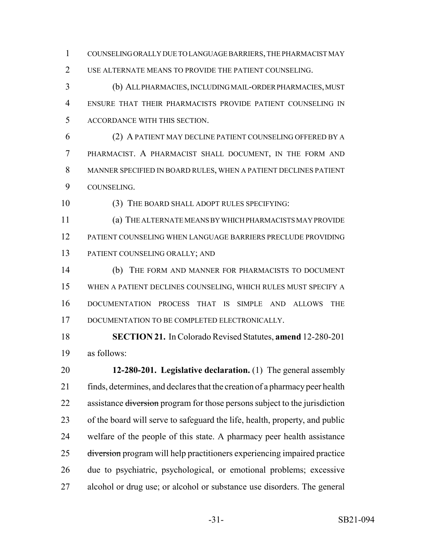COUNSELING ORALLY DUE TO LANGUAGE BARRIERS, THE PHARMACIST MAY 2 USE ALTERNATE MEANS TO PROVIDE THE PATIENT COUNSELING.

 (b) ALL PHARMACIES, INCLUDING MAIL-ORDER PHARMACIES, MUST ENSURE THAT THEIR PHARMACISTS PROVIDE PATIENT COUNSELING IN ACCORDANCE WITH THIS SECTION.

 (2) A PATIENT MAY DECLINE PATIENT COUNSELING OFFERED BY A PHARMACIST. A PHARMACIST SHALL DOCUMENT, IN THE FORM AND MANNER SPECIFIED IN BOARD RULES, WHEN A PATIENT DECLINES PATIENT COUNSELING.

(3) THE BOARD SHALL ADOPT RULES SPECIFYING:

 (a) THE ALTERNATE MEANS BY WHICH PHARMACISTS MAY PROVIDE PATIENT COUNSELING WHEN LANGUAGE BARRIERS PRECLUDE PROVIDING PATIENT COUNSELING ORALLY; AND

 (b) THE FORM AND MANNER FOR PHARMACISTS TO DOCUMENT WHEN A PATIENT DECLINES COUNSELING, WHICH RULES MUST SPECIFY A DOCUMENTATION PROCESS THAT IS SIMPLE AND ALLOWS THE 17 DOCUMENTATION TO BE COMPLETED ELECTRONICALLY.

 **SECTION 21.** In Colorado Revised Statutes, **amend** 12-280-201 as follows:

 **12-280-201. Legislative declaration.** (1) The general assembly finds, determines, and declares that the creation of a pharmacy peer health 22 assistance diversion program for those persons subject to the jurisdiction of the board will serve to safeguard the life, health, property, and public welfare of the people of this state. A pharmacy peer health assistance 25 diversion program will help practitioners experiencing impaired practice due to psychiatric, psychological, or emotional problems; excessive alcohol or drug use; or alcohol or substance use disorders. The general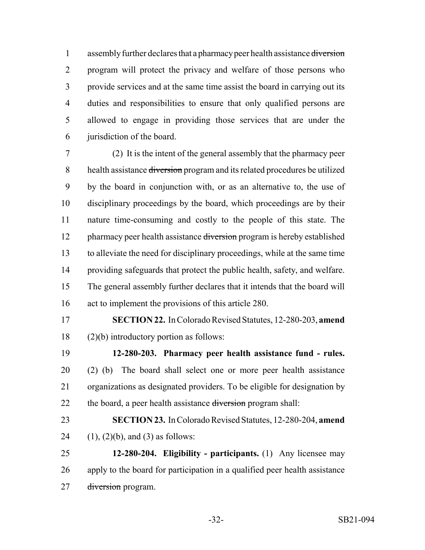1 assembly further declares that a pharmacy peer health assistance diversion program will protect the privacy and welfare of those persons who provide services and at the same time assist the board in carrying out its duties and responsibilities to ensure that only qualified persons are allowed to engage in providing those services that are under the jurisdiction of the board.

 (2) It is the intent of the general assembly that the pharmacy peer 8 health assistance diversion program and its related procedures be utilized by the board in conjunction with, or as an alternative to, the use of disciplinary proceedings by the board, which proceedings are by their nature time-consuming and costly to the people of this state. The 12 pharmacy peer health assistance diversion program is hereby established to alleviate the need for disciplinary proceedings, while at the same time providing safeguards that protect the public health, safety, and welfare. The general assembly further declares that it intends that the board will act to implement the provisions of this article 280.

 **SECTION 22.** In Colorado Revised Statutes, 12-280-203, **amend** (2)(b) introductory portion as follows:

 **12-280-203. Pharmacy peer health assistance fund - rules.** (2) (b) The board shall select one or more peer health assistance organizations as designated providers. To be eligible for designation by 22 the board, a peer health assistance diversion program shall:

 **SECTION 23.** In Colorado Revised Statutes, 12-280-204, **amend** 24  $(1)$ ,  $(2)(b)$ , and  $(3)$  as follows:

 **12-280-204. Eligibility - participants.** (1) Any licensee may apply to the board for participation in a qualified peer health assistance 27 <del>diversion</del> program.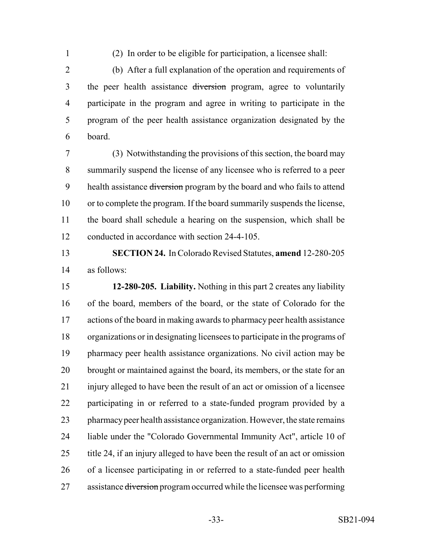(2) In order to be eligible for participation, a licensee shall:

 (b) After a full explanation of the operation and requirements of 3 the peer health assistance diversion program, agree to voluntarily participate in the program and agree in writing to participate in the program of the peer health assistance organization designated by the board.

 (3) Notwithstanding the provisions of this section, the board may summarily suspend the license of any licensee who is referred to a peer 9 health assistance diversion program by the board and who fails to attend or to complete the program. If the board summarily suspends the license, the board shall schedule a hearing on the suspension, which shall be conducted in accordance with section 24-4-105.

 **SECTION 24.** In Colorado Revised Statutes, **amend** 12-280-205 as follows:

 **12-280-205. Liability.** Nothing in this part 2 creates any liability of the board, members of the board, or the state of Colorado for the actions of the board in making awards to pharmacy peer health assistance organizations or in designating licensees to participate in the programs of pharmacy peer health assistance organizations. No civil action may be brought or maintained against the board, its members, or the state for an injury alleged to have been the result of an act or omission of a licensee participating in or referred to a state-funded program provided by a pharmacy peer health assistance organization. However, the state remains liable under the "Colorado Governmental Immunity Act", article 10 of title 24, if an injury alleged to have been the result of an act or omission of a licensee participating in or referred to a state-funded peer health 27 assistance diversion program occurred while the licensee was performing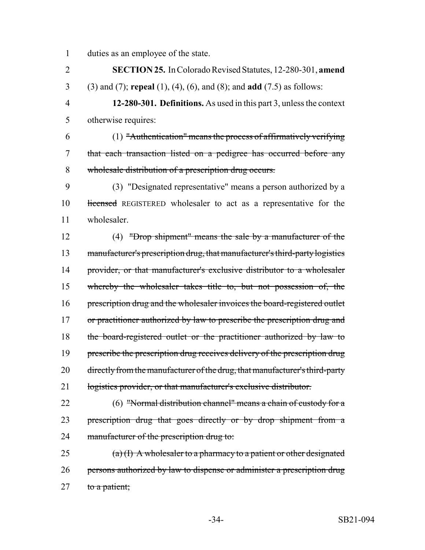1 duties as an employee of the state.

2 **SECTION 25.** In Colorado Revised Statutes, 12-280-301, **amend** 3 (3) and (7); **repeal** (1), (4), (6), and (8); and **add** (7.5) as follows:

4 **12-280-301. Definitions.** As used in this part 3, unless the context 5 otherwise requires:

6 (1) "Authentication" means the process of affirmatively verifying 7 that each transaction listed on a pedigree has occurred before any 8 wholesale distribution of a prescription drug occurs.

9 (3) "Designated representative" means a person authorized by a 10 licensed REGISTERED wholesaler to act as a representative for the 11 wholesaler.

12 (4) "Drop shipment" means the sale by a manufacturer of the 13 manufacturer's prescription drug, that manufacturer's third-party logistics 14 provider, or that manufacturer's exclusive distributor to a wholesaler 15 whereby the wholesaler takes title to, but not possession of, the 16 prescription drug and the wholesaler invoices the board-registered outlet 17 or practitioner authorized by law to prescribe the prescription drug and 18 the board-registered outlet or the practitioner authorized by law to 19 prescribe the prescription drug receives delivery of the prescription drug 20 directly from the manufacturer of the drug, that manufacturer's third-party 21 logistics provider, or that manufacturer's exclusive distributor.

22 (6) "Normal distribution channel" means a chain of custody for a 23 prescription drug that goes directly or by drop shipment from a 24 manufacturer of the prescription drug to:

25  $(a)(I)$  A wholesaler to a pharmacy to a patient or other designated 26 persons authorized by law to dispense or administer a prescription drug  $27$  to a patient;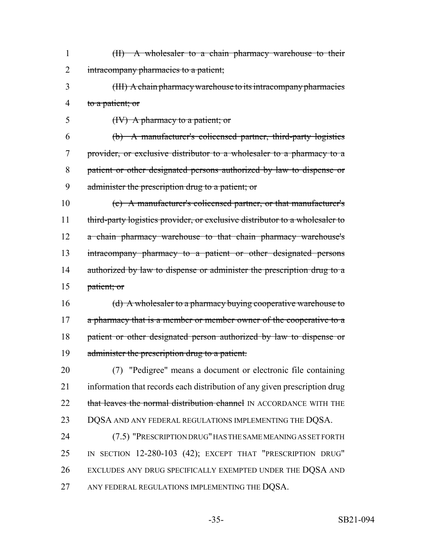| (II) A wholesaler to a chain pharmacy warehouse to their |
|----------------------------------------------------------|
| 2 intracompany pharmacies to a patient;                  |

- (III) A chain pharmacy warehouse to its intracompany pharmacies 4 to a patient; or
- (IV) A pharmacy to a patient; or

 (b) A manufacturer's colicensed partner, third-party logistics provider, or exclusive distributor to a wholesaler to a pharmacy to a patient or other designated persons authorized by law to dispense or administer the prescription drug to a patient; or

 (c) A manufacturer's colicensed partner, or that manufacturer's 11 third-party logistics provider, or exclusive distributor to a wholesaler to a chain pharmacy warehouse to that chain pharmacy warehouse's intracompany pharmacy to a patient or other designated persons 14 authorized by law to dispense or administer the prescription drug to a patient; or

16 (d) A wholesaler to a pharmacy buying cooperative warehouse to 17 a pharmacy that is a member or member owner of the cooperative to a patient or other designated person authorized by law to dispense or 19 administer the prescription drug to a patient.

 (7) "Pedigree" means a document or electronic file containing information that records each distribution of any given prescription drug 22 that leaves the normal distribution channel IN ACCORDANCE WITH THE 23 DQSA AND ANY FEDERAL REGULATIONS IMPLEMENTING THE DQSA. (7.5) "PRESCRIPTION DRUG" HAS THE SAME MEANING AS SET FORTH

 IN SECTION 12-280-103 (42); EXCEPT THAT "PRESCRIPTION DRUG" EXCLUDES ANY DRUG SPECIFICALLY EXEMPTED UNDER THE DQSA AND 27 ANY FEDERAL REGULATIONS IMPLEMENTING THE DQSA.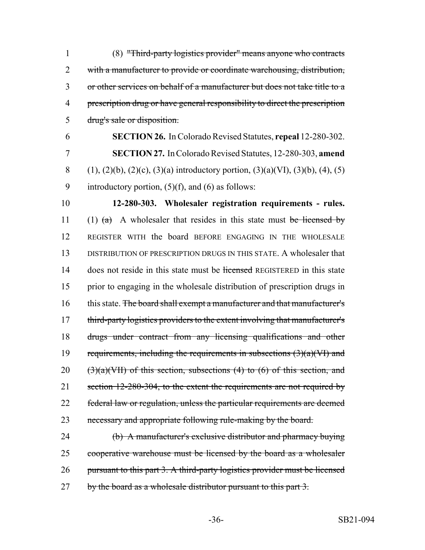(8) "Third-party logistics provider" means anyone who contracts with a manufacturer to provide or coordinate warehousing, distribution, or other services on behalf of a manufacturer but does not take title to a prescription drug or have general responsibility to direct the prescription drug's sale or disposition.

6 **SECTION 26.** In Colorado Revised Statutes, **repeal** 12-280-302. 7 **SECTION 27.** In Colorado Revised Statutes, 12-280-303, **amend** 8 (1), (2)(b), (2)(c), (3)(a) introductory portion, (3)(a)(VI), (3)(b), (4), (5) 9 introductory portion,  $(5)(f)$ , and  $(6)$  as follows:

10 **12-280-303. Wholesaler registration requirements - rules.** 11 (1)  $(a)$  A wholesaler that resides in this state must be licensed by 12 REGISTER WITH the board BEFORE ENGAGING IN THE WHOLESALE 13 DISTRIBUTION OF PRESCRIPTION DRUGS IN THIS STATE. A wholesaler that 14 does not reside in this state must be licensed REGISTERED in this state 15 prior to engaging in the wholesale distribution of prescription drugs in 16 this state. The board shall exempt a manufacturer and that manufacturer's 17 third-party logistics providers to the extent involving that manufacturer's 18 drugs under contract from any licensing qualifications and other 19 requirements, including the requirements in subsections  $(3)(a)(\text{VI})$  and 20  $(3)(a)(VII)$  of this section, subsections (4) to (6) of this section, and 21 section 12-280-304, to the extent the requirements are not required by 22 federal law or regulation, unless the particular requirements are deemed 23 necessary and appropriate following rule-making by the board.

24 (b) A manufacturer's exclusive distributor and pharmacy buying 25 cooperative warehouse must be licensed by the board as a wholesaler 26 pursuant to this part 3. A third-party logistics provider must be licensed 27 by the board as a wholesale distributor pursuant to this part 3.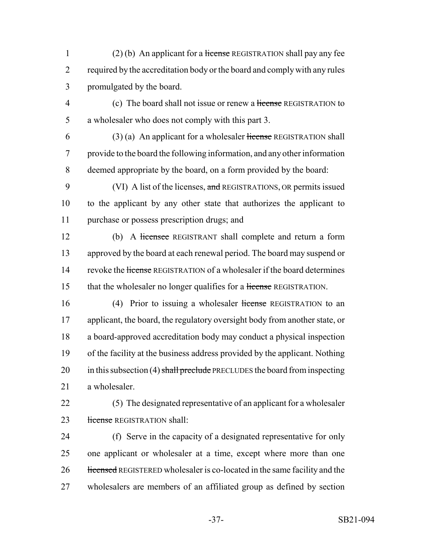1 (2) (b) An applicant for a license REGISTRATION shall pay any fee 2 required by the accreditation body or the board and comply with any rules 3 promulgated by the board.

4 (c) The board shall not issue or renew a license REGISTRATION to 5 a wholesaler who does not comply with this part 3.

 $(3)$  (a) An applicant for a wholesaler license REGISTRATION shall 7 provide to the board the following information, and any other information 8 deemed appropriate by the board, on a form provided by the board:

9 (VI) A list of the licenses, and REGISTRATIONS, OR permits issued 10 to the applicant by any other state that authorizes the applicant to 11 purchase or possess prescription drugs; and

12 (b) A licensee REGISTRANT shall complete and return a form 13 approved by the board at each renewal period. The board may suspend or 14 revoke the license REGISTRATION of a wholesaler if the board determines 15 that the wholesaler no longer qualifies for a license REGISTRATION.

16 (4) Prior to issuing a wholesaler license REGISTRATION to an applicant, the board, the regulatory oversight body from another state, or a board-approved accreditation body may conduct a physical inspection of the facility at the business address provided by the applicant. Nothing 20 in this subsection (4) shall preclude PRECLUDES the board from inspecting a wholesaler.

22 (5) The designated representative of an applicant for a wholesaler 23 license REGISTRATION shall:

 (f) Serve in the capacity of a designated representative for only one applicant or wholesaler at a time, except where more than one 26 licensed REGISTERED wholesaler is co-located in the same facility and the wholesalers are members of an affiliated group as defined by section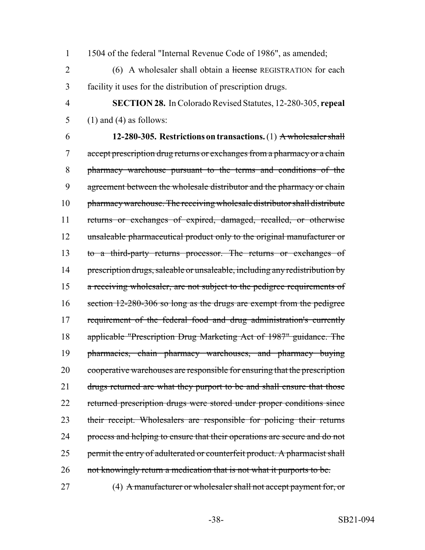1 1504 of the federal "Internal Revenue Code of 1986", as amended;

2 (6) A wholesaler shall obtain a license REGISTRATION for each 3 facility it uses for the distribution of prescription drugs.

4 **SECTION 28.** In Colorado Revised Statutes, 12-280-305, **repeal** 5 (1) and (4) as follows:

6 **12-280-305. Restrictions on transactions.** (1) A wholesaler shall 7 accept prescription drug returns or exchanges from a pharmacy or a chain 8 pharmacy warehouse pursuant to the terms and conditions of the 9 agreement between the wholesale distributor and the pharmacy or chain 10 pharmacy warehouse. The receiving wholesale distributor shall distribute 11 returns or exchanges of expired, damaged, recalled, or otherwise 12 unsaleable pharmaceutical product only to the original manufacturer or 13 to a third-party returns processor. The returns or exchanges of 14 prescription drugs, saleable or unsaleable, including any redistribution by 15 a receiving wholesaler, are not subject to the pedigree requirements of 16 section 12-280-306 so long as the drugs are exempt from the pedigree 17 requirement of the federal food and drug administration's currently 18 applicable "Prescription Drug Marketing Act of 1987" guidance. The 19 pharmacies, chain pharmacy warehouses, and pharmacy buying 20 cooperative warehouses are responsible for ensuring that the prescription 21 drugs returned are what they purport to be and shall ensure that those 22 returned prescription drugs were stored under proper conditions since 23 their receipt. Wholesalers are responsible for policing their returns 24 process and helping to ensure that their operations are secure and do not 25 permit the entry of adulterated or counterfeit product. A pharmacist shall 26 not knowingly return a medication that is not what it purports to be.

27 (4) A manufacturer or wholesaler shall not accept payment for, or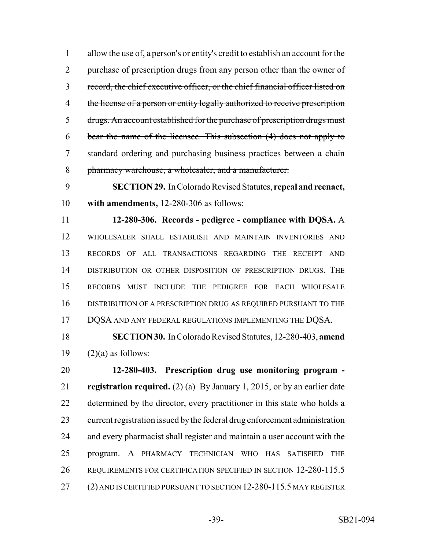allow the use of, a person's or entity's credit to establish an account for the 2 purchase of prescription drugs from any person other than the owner of record, the chief executive officer, or the chief financial officer listed on 4 the license of a person or entity legally authorized to receive prescription 5 drugs. An account established for the purchase of prescription drugs must bear the name of the licensee. This subsection (4) does not apply to standard ordering and purchasing business practices between a chain pharmacy warehouse, a wholesaler, and a manufacturer.

 **SECTION 29.** In Colorado Revised Statutes, **repeal and reenact, with amendments,** 12-280-306 as follows:

 **12-280-306. Records - pedigree - compliance with DQSA.** A WHOLESALER SHALL ESTABLISH AND MAINTAIN INVENTORIES AND RECORDS OF ALL TRANSACTIONS REGARDING THE RECEIPT AND DISTRIBUTION OR OTHER DISPOSITION OF PRESCRIPTION DRUGS. THE RECORDS MUST INCLUDE THE PEDIGREE FOR EACH WHOLESALE DISTRIBUTION OF A PRESCRIPTION DRUG AS REQUIRED PURSUANT TO THE 17 DQSA AND ANY FEDERAL REGULATIONS IMPLEMENTING THE DQSA.

 **SECTION 30.** In Colorado Revised Statutes, 12-280-403, **amend** 19  $(2)(a)$  as follows:

 **12-280-403. Prescription drug use monitoring program - registration required.** (2) (a) By January 1, 2015, or by an earlier date determined by the director, every practitioner in this state who holds a current registration issued by the federal drug enforcement administration and every pharmacist shall register and maintain a user account with the program. A PHARMACY TECHNICIAN WHO HAS SATISFIED THE REQUIREMENTS FOR CERTIFICATION SPECIFIED IN SECTION 12-280-115.5 (2) AND IS CERTIFIED PURSUANT TO SECTION 12-280-115.5 MAY REGISTER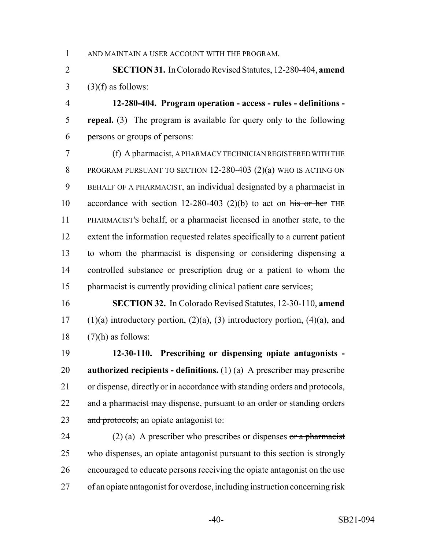AND MAINTAIN A USER ACCOUNT WITH THE PROGRAM.

 **SECTION 31.** In Colorado Revised Statutes, 12-280-404, **amend** (3)(f) as follows:

 **12-280-404. Program operation - access - rules - definitions - repeal.** (3) The program is available for query only to the following persons or groups of persons:

 (f) A pharmacist, A PHARMACY TECHNICIAN REGISTERED WITH THE PROGRAM PURSUANT TO SECTION 12-280-403 (2)(a) WHO IS ACTING ON BEHALF OF A PHARMACIST, an individual designated by a pharmacist in 10 accordance with section 12-280-403 (2)(b) to act on his or her THE PHARMACIST'S behalf, or a pharmacist licensed in another state, to the extent the information requested relates specifically to a current patient to whom the pharmacist is dispensing or considering dispensing a controlled substance or prescription drug or a patient to whom the pharmacist is currently providing clinical patient care services;

 **SECTION 32.** In Colorado Revised Statutes, 12-30-110, **amend** 17 (1)(a) introductory portion,  $(2)(a)$ ,  $(3)$  introductory portion,  $(4)(a)$ , and 18  $(7)(h)$  as follows:

 **12-30-110. Prescribing or dispensing opiate antagonists - authorized recipients - definitions.** (1) (a) A prescriber may prescribe or dispense, directly or in accordance with standing orders and protocols, 22 and a pharmacist may dispense, pursuant to an order or standing orders 23 and protocols, an opiate antagonist to:

24 (2) (a) A prescriber who prescribes or dispenses or a pharmacist 25 who dispenses, an opiate antagonist pursuant to this section is strongly encouraged to educate persons receiving the opiate antagonist on the use of an opiate antagonist for overdose, including instruction concerning risk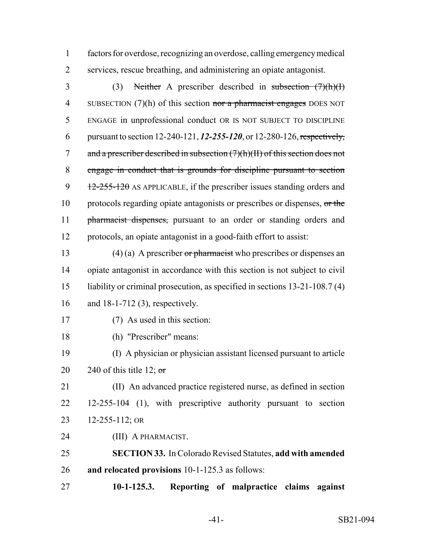factors for overdose, recognizing an overdose, calling emergency medical services, rescue breathing, and administering an opiate antagonist.

 (3) Neither A prescriber described in subsection (7)(h)(I) 4 SUBSECTION (7)(h) of this section nor a pharmacist engages DOES NOT ENGAGE in unprofessional conduct OR IS NOT SUBJECT TO DISCIPLINE pursuant to section 12-240-121, *12-255-120*, or 12-280-126, respectively, 7 and a prescriber described in subsection  $(7)(h)(H)$  of this section does not engage in conduct that is grounds for discipline pursuant to section 9  $\frac{12-255-120}{2}$  AS APPLICABLE, if the prescriber issues standing orders and 10 protocols regarding opiate antagonists or prescribes or dispenses, or the 11 pharmacist dispenses, pursuant to an order or standing orders and protocols, an opiate antagonist in a good-faith effort to assist:

13 (4) (a) A prescriber or pharmacist who prescribes or dispenses an opiate antagonist in accordance with this section is not subject to civil liability or criminal prosecution, as specified in sections 13-21-108.7 (4) and 18-1-712 (3), respectively.

- (7) As used in this section:
- (h) "Prescriber" means:

 (I) A physician or physician assistant licensed pursuant to article 20 240 of this title 12;  $\sigma$ 

 (II) An advanced practice registered nurse, as defined in section 12-255-104 (1), with prescriptive authority pursuant to section 12-255-112; OR

(III) A PHARMACIST.

 **SECTION 33.** In Colorado Revised Statutes, **add with amended and relocated provisions** 10-1-125.3 as follows:

**10-1-125.3. Reporting of malpractice claims against**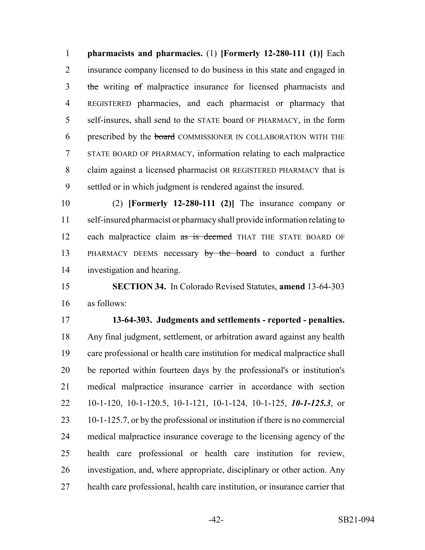**pharmacists and pharmacies.** (1) **[Formerly 12-280-111 (1)]** Each insurance company licensed to do business in this state and engaged in 3 the writing of malpractice insurance for licensed pharmacists and REGISTERED pharmacies, and each pharmacist or pharmacy that self-insures, shall send to the STATE board OF PHARMACY, in the form 6 prescribed by the **board** COMMISSIONER IN COLLABORATION WITH THE STATE BOARD OF PHARMACY, information relating to each malpractice claim against a licensed pharmacist OR REGISTERED PHARMACY that is settled or in which judgment is rendered against the insured.

 (2) **[Formerly 12-280-111 (2)]** The insurance company or self-insured pharmacist or pharmacy shall provide information relating to 12 each malpractice claim as is deemed THAT THE STATE BOARD OF 13 PHARMACY DEEMS necessary by the board to conduct a further investigation and hearing.

 **SECTION 34.** In Colorado Revised Statutes, **amend** 13-64-303 as follows:

 **13-64-303. Judgments and settlements - reported - penalties.** Any final judgment, settlement, or arbitration award against any health care professional or health care institution for medical malpractice shall be reported within fourteen days by the professional's or institution's medical malpractice insurance carrier in accordance with section 10-1-120, 10-1-120.5, 10-1-121, 10-1-124, 10-1-125, *10-1-125.3*, or 10-1-125.7, or by the professional or institution if there is no commercial medical malpractice insurance coverage to the licensing agency of the health care professional or health care institution for review, investigation, and, where appropriate, disciplinary or other action. Any health care professional, health care institution, or insurance carrier that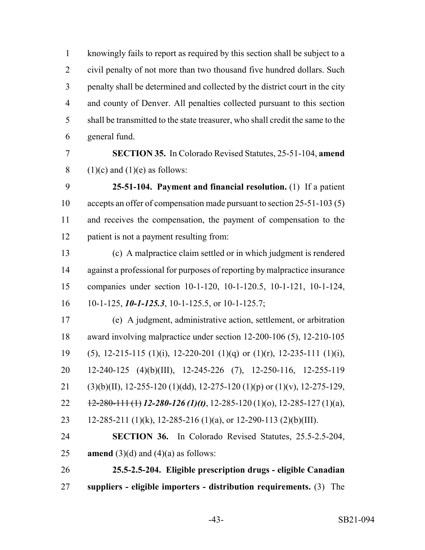knowingly fails to report as required by this section shall be subject to a civil penalty of not more than two thousand five hundred dollars. Such penalty shall be determined and collected by the district court in the city and county of Denver. All penalties collected pursuant to this section shall be transmitted to the state treasurer, who shall credit the same to the general fund.

 **SECTION 35.** In Colorado Revised Statutes, 25-51-104, **amend** 8 (1)(c) and (1)(e) as follows:

 **25-51-104. Payment and financial resolution.** (1) If a patient accepts an offer of compensation made pursuant to section 25-51-103 (5) and receives the compensation, the payment of compensation to the patient is not a payment resulting from:

 (c) A malpractice claim settled or in which judgment is rendered against a professional for purposes of reporting by malpractice insurance companies under section 10-1-120, 10-1-120.5, 10-1-121, 10-1-124, 10-1-125, *10-1-125.3*, 10-1-125.5, or 10-1-125.7;

 (e) A judgment, administrative action, settlement, or arbitration award involving malpractice under section 12-200-106 (5), 12-210-105 19 (5), 12-215-115 (1)(i), 12-220-201 (1)(q) or (1)(r), 12-235-111 (1)(i), 12-240-125 (4)(b)(III), 12-245-226 (7), 12-250-116, 12-255-119 21 (3)(b)(II), 12-255-120 (1)(dd), 12-275-120 (1)(p) or (1)(v), 12-275-129, 12-280-111 (1) *12-280-126 (1)(t)*, 12-285-120 (1)(o), 12-285-127 (1)(a), 23 12-285-211 (1)(k), 12-285-216 (1)(a), or 12-290-113 (2)(b)(III).

 **SECTION 36.** In Colorado Revised Statutes, 25.5-2.5-204, **amend** (3)(d) and (4)(a) as follows:

 **25.5-2.5-204. Eligible prescription drugs - eligible Canadian suppliers - eligible importers - distribution requirements.** (3) The